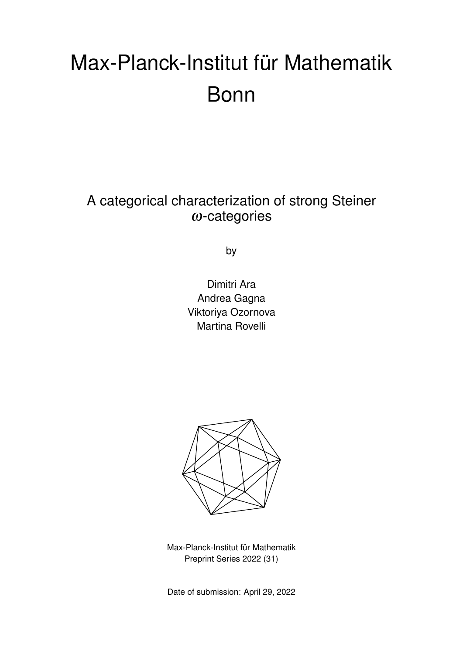# Max-Planck-Institut für Mathematik Bonn

A categorical characterization of strong Steiner  $\omega$ -categories

by

Dimitri Ara Andrea Gagna Viktoriya Ozornova Martina Rovelli



Max-Planck-Institut für Mathematik Preprint Series 2022 (31)

Date of submission: April 29, 2022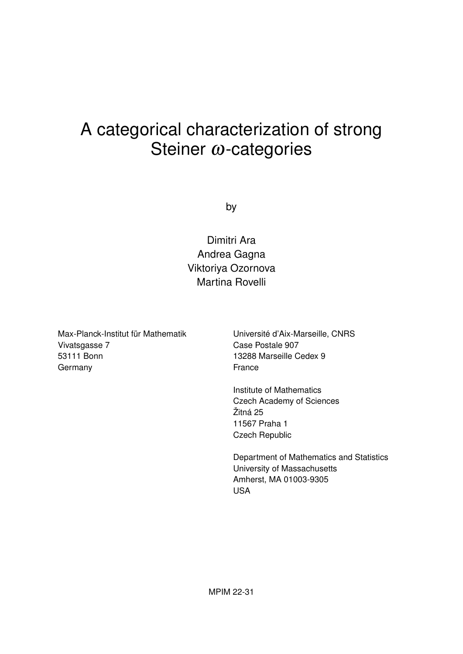# A categorical characterization of strong Steiner ω-categories

by

Dimitri Ara Andrea Gagna Viktoriya Ozornova Martina Rovelli

Max-Planck-Institut für Mathematik Vivatsgasse 7 53111 Bonn Germany

Université d'Aix-Marseille, CNRS Case Postale 907 13288 Marseille Cedex 9 France

Institute of Mathematics Czech Academy of Sciences Žitná 25 11567 Praha 1 Czech Republic

Department of Mathematics and Statistics University of Massachusetts Amherst, MA 01003-9305 USA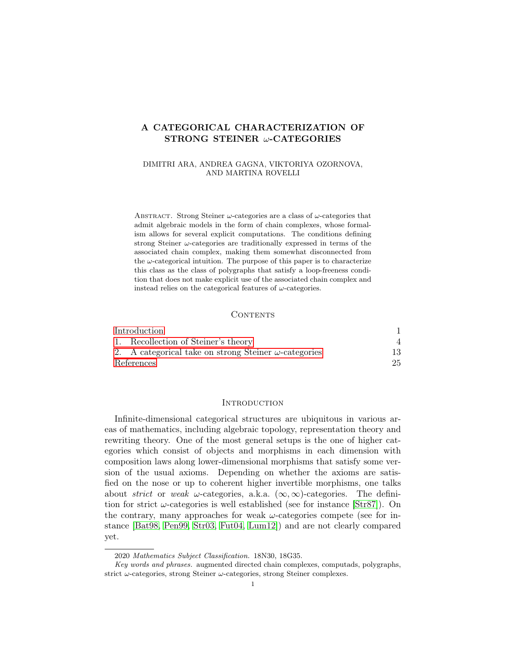# A CATEGORICAL CHARACTERIZATION OF STRONG STEINER ω-CATEGORIES

## DIMITRI ARA, ANDREA GAGNA, VIKTORIYA OZORNOVA, AND MARTINA ROVELLI

ABSTRACT. Strong Steiner  $\omega$ -categories are a class of  $\omega$ -categories that admit algebraic models in the form of chain complexes, whose formalism allows for several explicit computations. The conditions defining strong Steiner  $\omega$ -categories are traditionally expressed in terms of the associated chain complex, making them somewhat disconnected from the  $\omega$ -categorical intuition. The purpose of this paper is to characterize this class as the class of polygraphs that satisfy a loop-freeness condition that does not make explicit use of the associated chain complex and instead relies on the categorical features of  $\omega$ -categories.

#### CONTENTS

| Introduction                                                 |     |
|--------------------------------------------------------------|-----|
| 1. Recollection of Steiner's theory                          |     |
| 2. A categorical take on strong Steiner $\omega$ -categories | 13. |
| References                                                   | 25  |

#### <span id="page-2-0"></span>**INTRODUCTION**

Infinite-dimensional categorical structures are ubiquitous in various areas of mathematics, including algebraic topology, representation theory and rewriting theory. One of the most general setups is the one of higher categories which consist of objects and morphisms in each dimension with composition laws along lower-dimensional morphisms that satisfy some version of the usual axioms. Depending on whether the axioms are satisfied on the nose or up to coherent higher invertible morphisms, one talks about strict or weak  $\omega$ -categories, a.k.a. ( $\infty$ , $\infty$ )-categories. The definition for strict  $\omega$ -categories is well established (see for instance [\[Str87\]](#page-27-0)). On the contrary, many approaches for weak  $\omega$ -categories compete (see for instance [\[Bat98,](#page-26-1) [Pen99,](#page-27-1) [Str03,](#page-27-2) [Fut04,](#page-26-2) [Lum12\]](#page-27-3)) and are not clearly compared yet.

<sup>2020</sup> Mathematics Subject Classification. 18N30, 18G35.

Key words and phrases. augmented directed chain complexes, computads, polygraphs, strict  $\omega$ -categories, strong Steiner  $\omega$ -categories, strong Steiner complexes.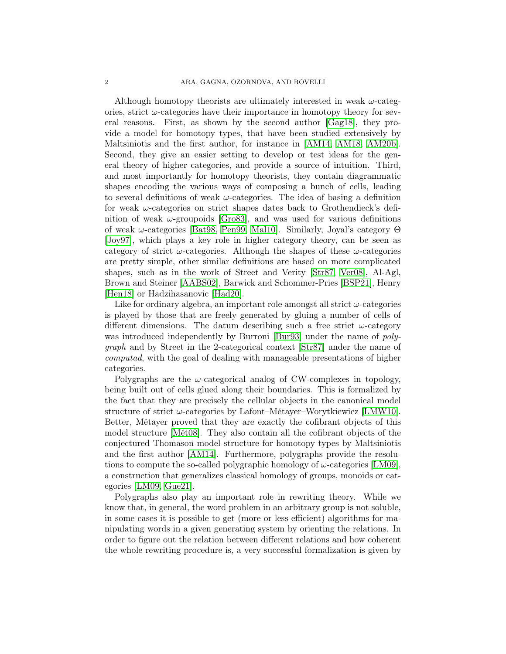#### 2 ARA, GAGNA, OZORNOVA, AND ROVELLI

Although homotopy theorists are ultimately interested in weak  $\omega$ -categories, strict  $\omega$ -categories have their importance in homotopy theory for several reasons. First, as shown by the second author [\[Gag18\]](#page-26-3), they provide a model for homotopy types, that have been studied extensively by Maltsiniotis and the first author, for instance in [\[AM14,](#page-26-4) [AM18,](#page-26-5) [AM20b\]](#page-26-6). Second, they give an easier setting to develop or test ideas for the general theory of higher categories, and provide a source of intuition. Third, and most importantly for homotopy theorists, they contain diagrammatic shapes encoding the various ways of composing a bunch of cells, leading to several definitions of weak  $\omega$ -categories. The idea of basing a definition for weak  $\omega$ -categories on strict shapes dates back to Grothendieck's definition of weak  $\omega$ -groupoids [\[Gro83\]](#page-26-7), and was used for various definitions of weak ω-categories [\[Bat98,](#page-26-1) [Pen99,](#page-27-1) [Mal10\]](#page-27-4). Similarly, Joyal's category Θ [\[Joy97\]](#page-27-5), which plays a key role in higher category theory, can be seen as category of strict  $\omega$ -categories. Although the shapes of these  $\omega$ -categories are pretty simple, other similar definitions are based on more complicated shapes, such as in the work of Street and Verity [\[Str87,](#page-27-0) [Ver08\]](#page-27-6), Al-Agl, Brown and Steiner [\[AABS02\]](#page-26-8), Barwick and Schommer-Pries [\[BSP21\]](#page-26-9), Henry [\[Hen18\]](#page-26-10) or Hadzihasanovic [\[Had20\]](#page-26-11).

Like for ordinary algebra, an important role amongst all strict  $\omega$ -categories is played by those that are freely generated by gluing a number of cells of different dimensions. The datum describing such a free strict  $\omega$ -category was introduced independently by Burroni [\[Bur93\]](#page-26-12) under the name of *poly*graph and by Street in the 2-categorical context [\[Str87\]](#page-27-0) under the name of computad, with the goal of dealing with manageable presentations of higher categories.

Polygraphs are the  $\omega$ -categorical analog of CW-complexes in topology, being built out of cells glued along their boundaries. This is formalized by the fact that they are precisely the cellular objects in the canonical model structure of strict  $\omega$ -categories by Lafont–Métayer–Worytkiewicz [\[LMW10\]](#page-27-7). Better, Métayer proved that they are exactly the cofibrant objects of this model structure [\[Mét08\]](#page-27-8). They also contain all the cofibrant objects of the conjectured Thomason model structure for homotopy types by Maltsiniotis and the first author [\[AM14\]](#page-26-4). Furthermore, polygraphs provide the resolutions to compute the so-called polygraphic homology of  $\omega$ -categories [\[LM09\]](#page-27-9), a construction that generalizes classical homology of groups, monoids or categories [\[LM09,](#page-27-9) [Gue21\]](#page-26-13).

Polygraphs also play an important role in rewriting theory. While we know that, in general, the word problem in an arbitrary group is not soluble, in some cases it is possible to get (more or less efficient) algorithms for manipulating words in a given generating system by orienting the relations. In order to figure out the relation between different relations and how coherent the whole rewriting procedure is, a very successful formalization is given by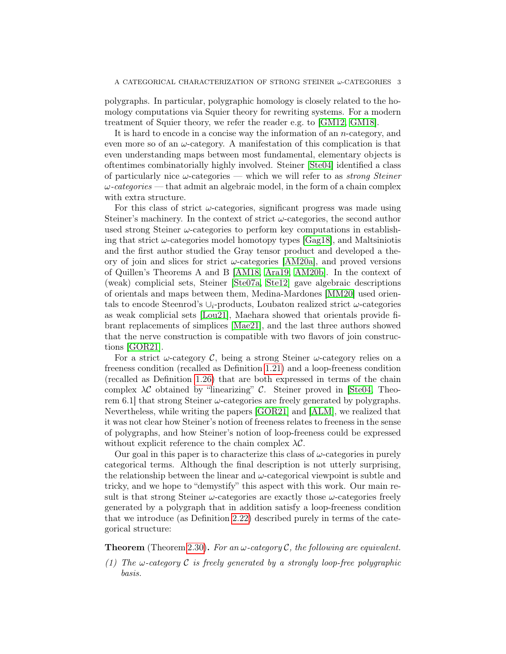polygraphs. In particular, polygraphic homology is closely related to the homology computations via Squier theory for rewriting systems. For a modern treatment of Squier theory, we refer the reader e.g. to [\[GM12,](#page-26-14) [GM18\]](#page-26-15).

It is hard to encode in a concise way the information of an n-category, and even more so of an  $\omega$ -category. A manifestation of this complication is that even understanding maps between most fundamental, elementary objects is oftentimes combinatorially highly involved. Steiner [\[Ste04\]](#page-27-10) identified a class of particularly nice  $\omega$ -categories — which we will refer to as *strong Steiner*  $\omega$ -categories — that admit an algebraic model, in the form of a chain complex with extra structure.

For this class of strict  $\omega$ -categories, significant progress was made using Steiner's machinery. In the context of strict  $\omega$ -categories, the second author used strong Steiner  $\omega$ -categories to perform key computations in establishing that strict  $\omega$ -categories model homotopy types [\[Gag18\]](#page-26-3), and Maltsiniotis and the first author studied the Gray tensor product and developed a theory of join and slices for strict  $\omega$ -categories [\[AM20a\]](#page-26-16), and proved versions of Quillen's Theorems A and B [\[AM18,](#page-26-5) [Ara19,](#page-26-17) [AM20b\]](#page-26-6). In the context of (weak) complicial sets, Steiner [\[Ste07a,](#page-27-11) [Ste12\]](#page-27-12) gave algebraic descriptions of orientals and maps between them, Medina-Mardones [\[MM20\]](#page-27-13) used orientals to encode Steenrod's  $\cup_i$ -products, Loubaton realized strict  $\omega$ -categories as weak complicial sets [\[Lou21\]](#page-27-14), Maehara showed that orientals provide fibrant replacements of simplices [\[Mae21\]](#page-27-15), and the last three authors showed that the nerve construction is compatible with two flavors of join constructions [\[GOR21\]](#page-26-18).

For a strict  $\omega$ -category C, being a strong Steiner  $\omega$ -category relies on a freeness condition (recalled as Definition [1.21\)](#page-11-0) and a loop-freeness condition (recalled as Definition [1.26\)](#page-12-0) that are both expressed in terms of the chain complex  $\lambda \mathcal{C}$  obtained by "linearizing"  $\mathcal{C}$ . Steiner proved in [\[Ste04,](#page-27-10) Theorem 6.1 that strong Steiner  $\omega$ -categories are freely generated by polygraphs. Nevertheless, while writing the papers [\[GOR21\]](#page-26-18) and [\[ALM\]](#page-26-19), we realized that it was not clear how Steiner's notion of freeness relates to freeness in the sense of polygraphs, and how Steiner's notion of loop-freeness could be expressed without explicit reference to the chain complex  $\lambda \mathcal{C}$ .

Our goal in this paper is to characterize this class of  $\omega$ -categories in purely categorical terms. Although the final description is not utterly surprising, the relationship between the linear and  $\omega$ -categorical viewpoint is subtle and tricky, and we hope to "demystify" this aspect with this work. Our main result is that strong Steiner  $\omega$ -categories are exactly those  $\omega$ -categories freely generated by a polygraph that in addition satisfy a loop-freeness condition that we introduce (as Definition [2.22\)](#page-22-0) described purely in terms of the categorical structure:

**Theorem** (Theorem [2.30\)](#page-25-0). For an  $\omega$ -category C, the following are equivalent.

(1) The  $\omega$ -category C is freely generated by a strongly loop-free polygraphic basis.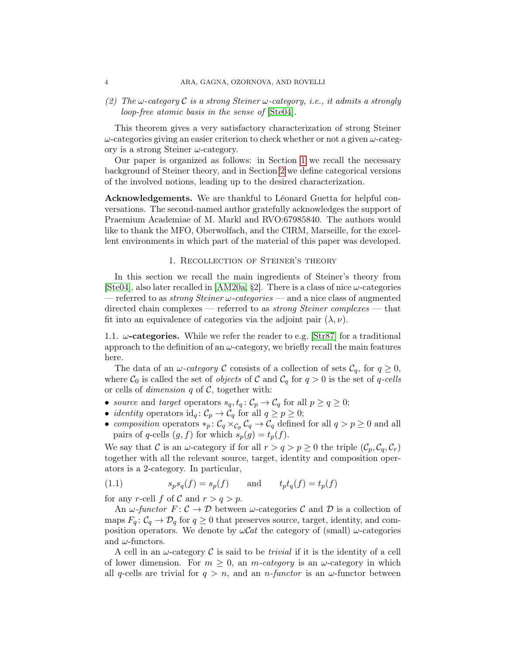(2) The  $\omega$ -category C is a strong Steiner  $\omega$ -category, i.e., it admits a strongly loop-free atomic basis in the sense of [\[Ste04\]](#page-27-10).

This theorem gives a very satisfactory characterization of strong Steiner  $\omega$ -categories giving an easier criterion to check whether or not a given  $\omega$ -category is a strong Steiner  $\omega$ -category.

Our paper is organized as follows: in Section [1](#page-5-0) we recall the necessary background of Steiner theory, and in Section [2](#page-14-0) we define categorical versions of the involved notions, leading up to the desired characterization.

Acknowledgements. We are thankful to Léonard Guetta for helpful conversations. The second-named author gratefully acknowledges the support of Praemium Academiae of M. Markl and RVO:67985840. The authors would like to thank the MFO, Oberwolfach, and the CIRM, Marseille, for the excellent environments in which part of the material of this paper was developed.

### 1. Recollection of Steiner's theory

<span id="page-5-0"></span>In this section we recall the main ingredients of Steiner's theory from [\[Ste04\]](#page-27-10), also later recalled in [\[AM20a,](#page-26-16) §2]. There is a class of nice  $\omega$ -categories — referred to as *strong Steiner*  $\omega$ *-categories* — and a nice class of augmented directed chain complexes — referred to as *strong Steiner complexes* — that fit into an equivalence of categories via the adjoint pair  $(\lambda, \nu)$ .

1.1.  $\omega$ -categories. While we refer the reader to e.g. [\[Str87\]](#page-27-0) for a traditional approach to the definition of an  $\omega$ -category, we briefly recall the main features here.

The data of an  $\omega$ -category C consists of a collection of sets  $\mathcal{C}_q$ , for  $q \geq 0$ , where  $C_0$  is called the set of *objects* of C and  $C_q$  for  $q > 0$  is the set of q-cells or cells of *dimension*  $q$  of  $C$ , together with:

- source and target operators  $s_q, t_q: \mathcal{C}_p \to \mathcal{C}_q$  for all  $p \ge q \ge 0$ ;
- *identity* operators  $\mathrm{id}_q: \mathcal{C}_p \to \mathcal{C}_q$  for all  $q \geq p \geq 0$ ;
- composition operators  $*_p: C_q \times_{C_p} C_q \to C_q$  defined for all  $q > p \geq 0$  and all pairs of q-cells  $(g, f)$  for which  $s_p(g) = t_p(f)$ .

We say that C is an  $\omega$ -category if for all  $r > q > p \geq 0$  the triple  $(\mathcal{C}_p, \mathcal{C}_q, \mathcal{C}_r)$ together with all the relevant source, target, identity and composition operators is a 2-category. In particular,

<span id="page-5-1"></span>(1.1) 
$$
s_p s_q(f) = s_p(f) \quad \text{and} \quad t_p t_q(f) = t_p(f)
$$

for any r-cell f of C and  $r > q > p$ .

An  $\omega$ -functor  $F: \mathcal{C} \to \mathcal{D}$  between  $\omega$ -categories  $\mathcal{C}$  and  $\mathcal{D}$  is a collection of maps  $F_q: \mathcal{C}_q \to \mathcal{D}_q$  for  $q \geq 0$  that preserves source, target, identity, and composition operators. We denote by  $\omega$ *Cat* the category of (small)  $\omega$ -categories and  $\omega$ -functors.

A cell in an  $\omega$ -category C is said to be *trivial* if it is the identity of a cell of lower dimension. For  $m \geq 0$ , an *m*-category is an  $\omega$ -category in which all q-cells are trivial for  $q > n$ , and an n-functor is an  $\omega$ -functor between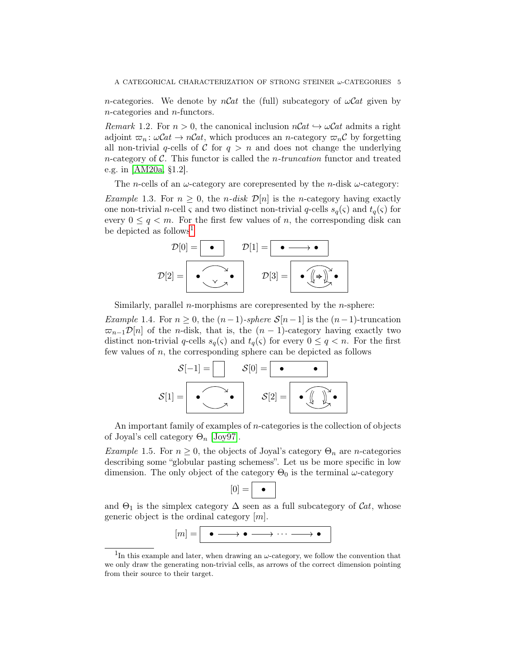n-categories. We denote by  $nCat$  the (full) subcategory of  $\omega Cat$  given by n-categories and n-functors.

<span id="page-6-2"></span>Remark 1.2. For  $n > 0$ , the canonical inclusion  $nCat \hookrightarrow \omega Cat$  admits a right adjoint  $\varpi_n : \omega\mathcal{C}at \to n\mathcal{C}at$ , which produces an n-category  $\varpi_n\mathcal{C}$  by forgetting all non-trivial q-cells of C for  $q > n$  and does not change the underlying n-category of  $\mathcal C$ . This functor is called the *n*-truncation functor and treated e.g. in [\[AM20a,](#page-26-16) §1.2].

The *n*-cells of an  $\omega$ -category are corepresented by the *n*-disk  $\omega$ -category:

<span id="page-6-1"></span>*Example 1.3.* For  $n \geq 0$ , the *n-disk*  $\mathcal{D}[n]$  is the *n*-category having exactly one non-trivial *n*-cell  $\varsigma$  and two distinct non-trivial *q*-cells  $s_q(\varsigma)$  and  $t_q(\varsigma)$  for every  $0 \leq q \leq m$ . For the first few values of n, the corresponding disk can be depicted as follows<sup>[1](#page-6-0)</sup>

$$
\mathcal{D}[0] = \boxed{\bullet} \qquad \mathcal{D}[1] = \boxed{\bullet \longrightarrow \bullet}
$$
\n
$$
\mathcal{D}[2] = \boxed{\bullet \bigcirc \bigcirc \bigcirc \bullet \bigcirc \qquad \mathcal{D}[3] = \boxed{\bullet \bigcirc \bigcirc \bigcirc \bullet \bigcirc \bullet}
$$

Similarly, parallel *n*-morphisms are corepresented by the *n*-sphere:

<span id="page-6-3"></span>Example 1.4. For  $n \geq 0$ , the  $(n-1)$ -sphere  $S[n-1]$  is the  $(n-1)$ -truncation  $\overline{\infty}_{n-1}\mathcal{D}[n]$  of the *n*-disk, that is, the  $(n-1)$ -category having exactly two distinct non-trivial q-cells  $s_q(\varsigma)$  and  $t_q(\varsigma)$  for every  $0 \leq q < n$ . For the first few values of  $n$ , the corresponding sphere can be depicted as follows

$$
\mathcal{S}[-1] = \begin{bmatrix} \mathcal{S}[0] = \begin{bmatrix} \bullet & \bullet \end{bmatrix} \\ \mathcal{S}[1] = \begin{bmatrix} \bullet & \bullet \end{bmatrix} & \mathcal{S}[2] = \begin{bmatrix} \bullet & \begin{bmatrix} \bullet & \end{bmatrix} \\ \bullet & \begin{bmatrix} \bullet & \end{bmatrix} \end{bmatrix} \end{bmatrix}
$$

An important family of examples of  $n$ -categories is the collection of objects of Joyal's cell category  $\Theta_n$  [\[Joy97\]](#page-27-5).

*Example* 1.5. For  $n \geq 0$ , the objects of Joyal's category  $\Theta_n$  are *n*-categories describing some "globular pasting schemess". Let us be more specific in low dimension. The only object of the category  $\Theta_0$  is the terminal  $\omega$ -category

$$
[0]=\boxed{\bullet}
$$

and  $\Theta_1$  is the simplex category  $\Delta$  seen as a full subcategory of  $\mathcal{C}at$ , whose generic object is the ordinal category  $[m]$ .

$$
[m] = \bullet \longrightarrow \bullet \longrightarrow \cdots \longrightarrow \bullet
$$

<span id="page-6-0"></span><sup>&</sup>lt;sup>1</sup>In this example and later, when drawing an  $\omega$ -category, we follow the convention that we only draw the generating non-trivial cells, as arrows of the correct dimension pointing from their source to their target.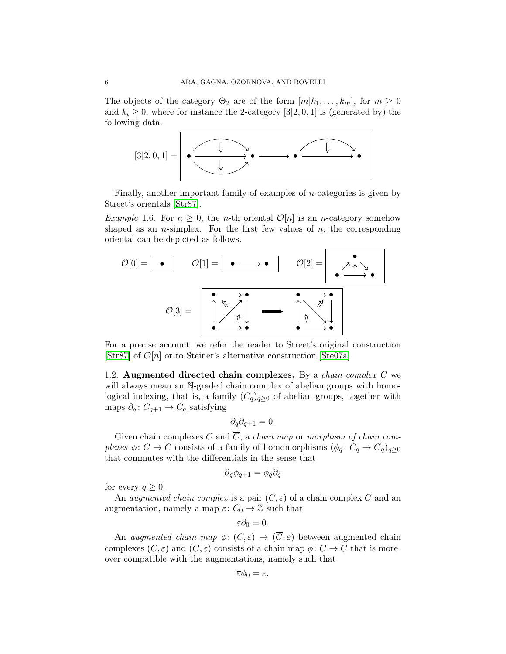The objects of the category  $\Theta_2$  are of the form  $[m|k_1,\ldots,k_m]$ , for  $m\geq 0$ and  $k_i \geq 0$ , where for instance the 2-category [3|2, 0, 1] is (generated by) the following data.



Finally, another important family of examples of n-categories is given by Street's orientals [\[Str87\]](#page-27-0).

<span id="page-7-0"></span>*Example* 1.6. For  $n \geq 0$ , the *n*-th oriental  $\mathcal{O}[n]$  is an *n*-category somehow shaped as an *n*-simplex. For the first few values of  $n$ , the corresponding oriental can be depicted as follows.



For a precise account, we refer the reader to Street's original construction [\[Str87\]](#page-27-0) of  $\mathcal{O}[n]$  or to Steiner's alternative construction [\[Ste07a\]](#page-27-11).

1.2. Augmented directed chain complexes. By a *chain complex C* we will always mean an N-graded chain complex of abelian groups with homological indexing, that is, a family  $(C_q)_{q>0}$  of abelian groups, together with maps  $\partial_q: C_{q+1} \to C_q$  satisfying

$$
\partial_q \partial_{q+1} = 0.
$$

Given chain complexes C and  $\overline{C}$ , a chain map or morphism of chain complexes  $\phi: C \to \overline{C}$  consists of a family of homomorphisms  $(\phi_q: C_q \to \overline{C}_q)_{q>0}$ that commutes with the differentials in the sense that

$$
\partial_q \phi_{q+1} = \phi_q \partial_q
$$

for every  $q \geq 0$ .

An *augmented chain complex* is a pair  $(C, \varepsilon)$  of a chain complex C and an augmentation, namely a map  $\varepsilon: C_0 \to \mathbb{Z}$  such that

$$
\varepsilon\partial_0=0.
$$

An *augmented chain map*  $\phi: (C, \varepsilon) \to (\overline{C}, \overline{\varepsilon})$  between augmented chain complexes  $(C, \varepsilon)$  and  $(\overline{C}, \overline{\varepsilon})$  consists of a chain map  $\phi: C \to \overline{C}$  that is moreover compatible with the augmentations, namely such that

$$
\overline{\varepsilon}\phi_0=\varepsilon.
$$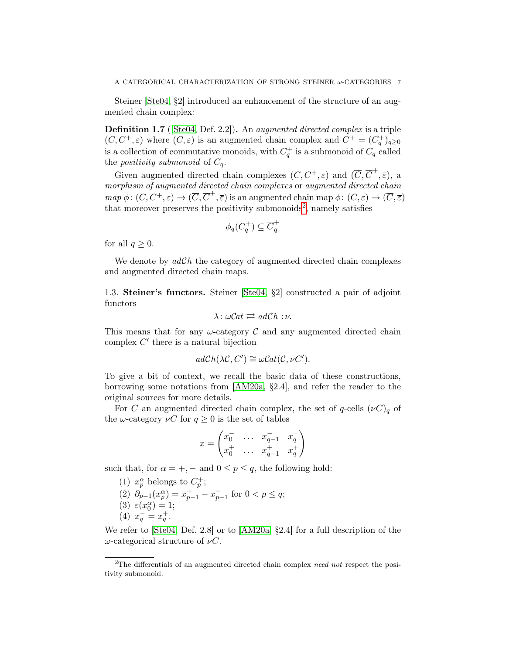Steiner [\[Ste04,](#page-27-10) §2] introduced an enhancement of the structure of an augmented chain complex:

Definition 1.7 ([\[Ste04,](#page-27-10) Def. 2.2]). An augmented directed complex is a triple  $(C, C^+, \varepsilon)$  where  $(C, \varepsilon)$  is an augmented chain complex and  $C^+ = (C_q^+)_{q \geq 0}$ is a collection of commutative monoids, with  $C_q^+$  is a submonoid of  $C_q$  called the *positivity submonoid* of  $C_q$ .

Given augmented directed chain complexes  $(C, C^+, \varepsilon)$  and  $(\overline{C}, \overline{C}^+, \overline{\varepsilon})$ , a morphism of augmented directed chain complexes or augmented directed chain  $map \phi: (C, C^+, \varepsilon) \to (\overline{C}, \overline{C}^+, \overline{\varepsilon})$  is an augmented chain map  $\phi: (C, \varepsilon) \to (\overline{C}, \overline{\varepsilon})$ that moreover preserves the positivity submonoids<sup>[2](#page-8-0)</sup>, namely satisfies

$$
\phi_q(C_q^+) \subseteq \overline{C}_q^+
$$

for all  $q \geq 0$ .

We denote by  $adCh$  the category of augmented directed chain complexes and augmented directed chain maps.

<span id="page-8-1"></span>1.3. Steiner's functors. Steiner [\[Ste04,](#page-27-10) §2] constructed a pair of adjoint functors

$$
\lambda \colon \omega \mathcal{C}at \rightleftarrows ad\mathcal{C}h : \nu.
$$

This means that for any  $\omega$ -category  $\mathcal C$  and any augmented directed chain complex  $C'$  there is a natural bijection

$$
adCh(\lambda \mathcal{C}, C') \cong \omega Cat(\mathcal{C}, \nu C').
$$

To give a bit of context, we recall the basic data of these constructions, borrowing some notations from [\[AM20a,](#page-26-16) §2.4], and refer the reader to the original sources for more details.

For C an augmented directed chain complex, the set of q-cells  $(\nu C)_q$  of the  $\omega$ -category  $\nu C$  for  $q \geq 0$  is the set of tables

$$
x = \begin{pmatrix} x_0^- & \dots & x_{q-1}^- & x_q^- \\ x_0^+ & \dots & x_{q-1}^+ & x_q^+ \end{pmatrix}
$$

such that, for  $\alpha = +, -$  and  $0 \le p \le q$ , the following hold:

(1)  $x_p^{\alpha}$  belongs to  $C_p^+$ ; (2)  $\partial_{p-1}(x_p^{\alpha}) = x_{p-1}^+ - x_{p-1}^-$  for  $0 < p \le q$ ; (3)  $\varepsilon(x_0^\alpha) = 1;$ (4)  $x_q^- = x_q^+$ .

We refer to [\[Ste04,](#page-27-10) Def. 2.8] or to [\[AM20a,](#page-26-16) §2.4] for a full description of the  $ω$ -categorical structure of  $νC$ .

<span id="page-8-0"></span><sup>&</sup>lt;sup>2</sup>The differentials of an augmented directed chain complex *need not* respect the positivity submonoid.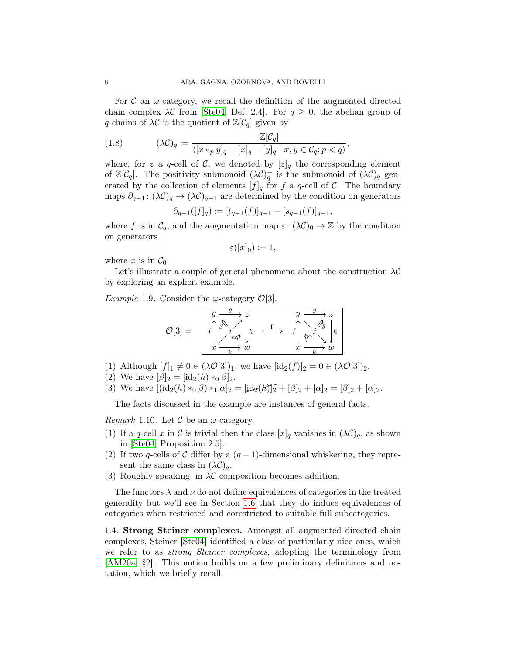For  $\mathcal C$  an  $\omega$ -category, we recall the definition of the augmented directed chain complex  $\lambda \mathcal{C}$  from [\[Ste04,](#page-27-10) Def. 2.4]. For  $q \geq 0$ , the abelian group of q-chains of  $\lambda \mathcal{C}$  is the quotient of  $\mathbb{Z}[\mathcal{C}_q]$  given by

(1.8) 
$$
(\lambda \mathcal{C})_q := \frac{\mathbb{Z}[\mathcal{C}_q]}{\langle [x *_{p} y]_q - [x]_q - [y]_q \mid x, y \in \mathcal{C}_q; p < q \rangle},
$$

where, for z a q-cell of C, we denoted by  $[z]_q$  the corresponding element of  $\mathbb{Z}[\mathcal{C}_q]$ . The positivity submonoid  $(\lambda \mathcal{C})_q^+$  is the submonoid of  $(\lambda \mathcal{C})_q$  generated by the collection of elements  $[f]_q$  for f a q-cell of C. The boundary maps  $\partial_{q-1}$ :  $(\lambda \mathcal{C})_q \to (\lambda \mathcal{C})_{q-1}$  are determined by the condition on generators

$$
\partial_{q-1}([f]_q) := [t_{q-1}(f)]_{q-1} - [s_{q-1}(f)]_{q-1},
$$

where f is in  $C_q$ , and the augmentation map  $\varepsilon: (\lambda C)_0 \to \mathbb{Z}$  by the condition on generators

$$
\varepsilon([x]_0) \coloneqq 1,
$$

where x is in  $\mathcal{C}_0$ .

Let's illustrate a couple of general phenomena about the construction  $\lambda \mathcal{C}$ by exploring an explicit example.

*Example* 1.9. Consider the  $\omega$ -category  $\mathcal{O}[3]$ .

$$
\mathcal{O}[3] = \begin{bmatrix} y & \xrightarrow{g} & z & y & \xrightarrow{g} & z \\ f \uparrow \beta & i & h & \xrightarrow{\Gamma} & f \uparrow \beta & j \\ x & \xrightarrow{k} & w & x & \xrightarrow{k} & w \end{bmatrix} \begin{bmatrix} y & \xrightarrow{g} & z \\ \uparrow y & \searrow & j \\ \uparrow y & \searrow & \downarrow & \downarrow \\ x & \xrightarrow{k} & w & x & \xrightarrow{k} & w \end{bmatrix}
$$

- (1) Although  $[f]_1 \neq 0 \in (\lambda \mathcal{O}[3])_1$ , we have  $[\mathrm{id}_2(f)]_2 = 0 \in (\lambda \mathcal{O}[3])_2$ .
- (2) We have  $[\beta]_2 = [\text{id}_2(h) *_{0} \beta]_2$ .
- (3) We have  $[(id_2(h) *_0 \beta) *_1 \alpha]_2 = [id_2(h)]_2 + [\beta]_2 + [\alpha]_2 = [\beta]_2 + [\alpha]_2.$

The facts discussed in the example are instances of general facts.

<span id="page-9-0"></span>*Remark* 1.10. Let  $\mathcal C$  be an  $\omega$ -category.

- (1) If a q-cell x in C is trivial then the class  $[x]_q$  vanishes in  $(\lambda \mathcal{C})_q$ , as shown in [\[Ste04,](#page-27-10) Proposition 2.5].
- (2) If two q-cells of C differ by a  $(q-1)$ -dimensional whiskering, they represent the same class in  $(\lambda \mathcal{C})_q$ .
- (3) Roughly speaking, in  $\lambda \mathcal{C}$  composition becomes addition.

The functors  $\lambda$  and  $\nu$  do not define equivalences of categories in the treated generality but we'll see in Section [1.6](#page-13-0) that they do induce equivalences of categories when restricted and corestricted to suitable full subcategories.

1.4. Strong Steiner complexes. Amongst all augmented directed chain complexes, Steiner [\[Ste04\]](#page-27-10) identified a class of particularly nice ones, which we refer to as strong Steiner complexes, adopting the terminology from [\[AM20a,](#page-26-16) §2]. This notion builds on a few preliminary definitions and notation, which we briefly recall.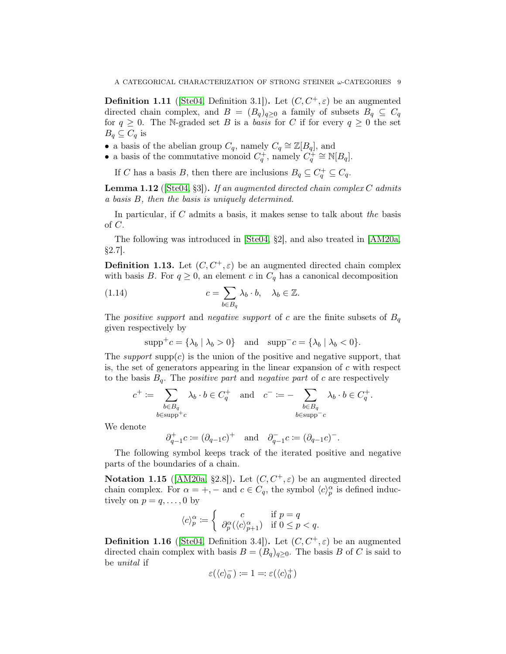**Definition 1.11** ([\[Ste04,](#page-27-10) Definition 3.1]). Let  $(C, C^+, \varepsilon)$  be an augmented directed chain complex, and  $B = (B_q)_{q \geq 0}$  a family of subsets  $B_q \subseteq C_q$ for  $q \geq 0$ . The N-graded set B is a basis for C if for every  $q \geq 0$  the set  $B_q \subseteq C_q$  is

- a basis of the abelian group  $C_q$ , namely  $C_q \cong \mathbb{Z}[B_q]$ , and
- a basis of the commutative monoid  $C_q^+$ , namely  $C_q^+ \cong \mathbb{N}[B_q]$ .

If C has a basis B, then there are inclusions  $B_q \subseteq C_q^+ \subseteq C_q$ .

<span id="page-10-1"></span>**Lemma 1.12** ( $[Ste04, §3]$  $[Ste04, §3]$ ). If an augmented directed chain complex C admits a basis B, then the basis is uniquely determined.

In particular, if  $C$  admits a basis, it makes sense to talk about the basis of C.

The following was introduced in [\[Ste04,](#page-27-10) §2], and also treated in [\[AM20a,](#page-26-16) §2.7].

<span id="page-10-2"></span>**Definition 1.13.** Let  $(C, C^+, \varepsilon)$  be an augmented directed chain complex with basis B. For  $q \geq 0$ , an element c in  $C_q$  has a canonical decomposition

(1.14) 
$$
c = \sum_{b \in B_q} \lambda_b \cdot b, \quad \lambda_b \in \mathbb{Z}.
$$

The positive support and negative support of c are the finite subsets of  $B_q$ given respectively by

<span id="page-10-0"></span>
$$
\mathrm{supp}^+c = \{\lambda_b \mid \lambda_b > 0\} \quad \text{and} \quad \mathrm{supp}^-c = \{\lambda_b \mid \lambda_b < 0\}.
$$

The support supp(c) is the union of the positive and negative support, that is, the set of generators appearing in the linear expansion of  $c$  with respect to the basis  $B_q$ . The *positive part* and *negative part* of c are respectively

$$
c^+ := \sum_{\substack{b \in B_q \\ b \in \text{supp}^+c}} \lambda_b \cdot b \in C_q^+ \quad \text{and} \quad c^- := -\sum_{\substack{b \in B_q \\ b \in \text{supp}^-c}} \lambda_b \cdot b \in C_q^+.
$$

We denote

$$
\partial_{q-1}^+ c \coloneqq (\partial_{q-1}c)^+ \quad \text{and} \quad \partial_{q-1}^- c \coloneqq (\partial_{q-1}c)^-\text{.}
$$

The following symbol keeps track of the iterated positive and negative parts of the boundaries of a chain.

Notation 1.15 ( $[AM20a, §2.8]$  $[AM20a, §2.8]$ ). Let  $(C, C^+, \varepsilon)$  be an augmented directed chain complex. For  $\alpha = +, -$  and  $c \in C_q$ , the symbol  $\langle c \rangle_p^{\alpha}$  is defined inductively on  $p = q, \ldots, 0$  by

$$
\langle c \rangle_p^{\alpha} := \begin{cases} c & \text{if } p = q \\ \partial_p^{\alpha} (\langle c \rangle_{p+1}^{\alpha}) & \text{if } 0 \le p < q. \end{cases}
$$

**Definition 1.16** ([\[Ste04,](#page-27-10) Definition 3.4]). Let  $(C, C^+, \varepsilon)$  be an augmented directed chain complex with basis  $B = (B_q)_{q \geq 0}$ . The basis B of C is said to be unital if

$$
\varepsilon(\langle c \rangle_0^-) \coloneqq 1 =: \varepsilon(\langle c \rangle_0^+)
$$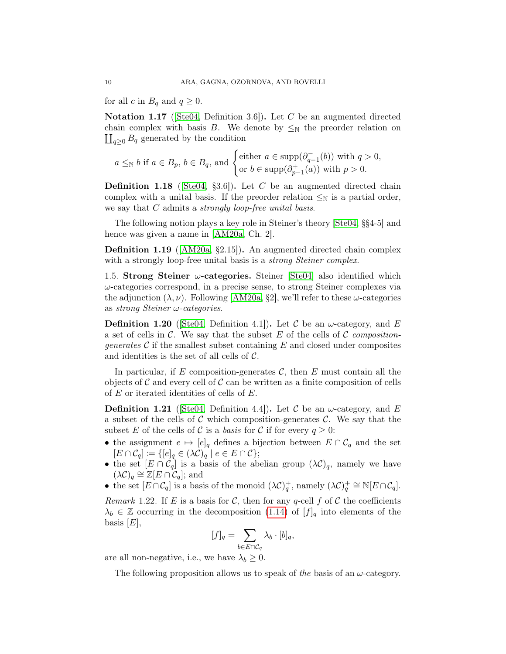for all c in  $B_q$  and  $q \geq 0$ .

<span id="page-11-4"></span>**Notation 1.17** (Ste04, Definition 3.6). Let C be an augmented directed chain complex with basis B. We denote by  $\leq_N$  the preorder relation on  $\coprod_{q\geq 0} B_q$  generated by the condition

$$
a \leq_{\mathbb{N}} b
$$
 if  $a \in B_p$ ,  $b \in B_q$ , and  $\begin{cases} \text{either } a \in \text{supp}(\partial_{q-1}^-(b)) \text{ with } q > 0, \\ \text{or } b \in \text{supp}(\partial_{p-1}^+(a)) \text{ with } p > 0. \end{cases}$ 

<span id="page-11-2"></span>**Definition 1.18** (Ste04, §3.6). Let C be an augmented directed chain complex with a unital basis. If the preorder relation  $\leq_N$  is a partial order, we say that  $C$  admits a *strongly loop-free unital basis*.

The following notion plays a key role in Steiner's theory [\[Ste04,](#page-27-10) §§4-5] and hence was given a name in [\[AM20a,](#page-26-16) Ch. 2].

Definition 1.19 ([\[AM20a,](#page-26-16) §2.15]). An augmented directed chain complex with a strongly loop-free unital basis is a *strong Steiner complex*.

1.5. Strong Steiner  $\omega$ -categories. Steiner [\[Ste04\]](#page-27-10) also identified which  $\omega$ -categories correspond, in a precise sense, to strong Steiner complexes via the adjunction  $(\lambda, \nu)$ . Following [\[AM20a,](#page-26-16) §2], we'll refer to these  $\omega$ -categories as strong Steiner ω-categories.

**Definition 1.20** (Ste04, Definition 4.1). Let C be an  $\omega$ -category, and E a set of cells in C. We say that the subset E of the cells of C composition*generates*  $\mathcal C$  if the smallest subset containing  $E$  and closed under composites and identities is the set of all cells of  $\mathcal{C}$ .

In particular, if E composition-generates  $\mathcal{C}$ , then E must contain all the objects of  $\mathcal C$  and every cell of  $\mathcal C$  can be written as a finite composition of cells of E or iterated identities of cells of E.

<span id="page-11-0"></span>**Definition 1.21** (Ste04, Definition 4.4). Let C be an  $\omega$ -category, and E a subset of the cells of C which composition-generates C. We say that the subset E of the cells of C is a basis for C if for every  $q \geq 0$ :

- the assignment  $e \mapsto [e]_q$  defines a bijection between  $E \cap C_q$  and the set  $[E \cap C_q] \coloneqq \{[e]_q \in (\lambda \mathcal{C})_q \mid e \in E \cap C\};$
- the set  $[E \cap C_q]$  is a basis of the abelian group  $(\lambda C)_q$ , namely we have  $(\lambda \mathcal{C})_q \cong \mathbb{Z}[E \cap C_q];$  and
- the set  $[E \cap C_q]$  is a basis of the monoid  $(\lambda C)^+_q$ , namely  $(\lambda C)^+_q \cong \mathbb{N}[E \cap C_q]$ .

<span id="page-11-1"></span>Remark 1.22. If E is a basis for C, then for any q-cell f of C the coefficients  $\lambda_b \in \mathbb{Z}$  occurring in the decomposition [\(1.14\)](#page-10-0) of  $[f]_q$  into elements of the basis  $[E]$ ,

$$
[f]_q = \sum_{b \in E \cap C_q} \lambda_b \cdot [b]_q,
$$

are all non-negative, i.e., we have  $\lambda_b \geq 0$ .

<span id="page-11-3"></span>The following proposition allows us to speak of the basis of an  $\omega$ -category.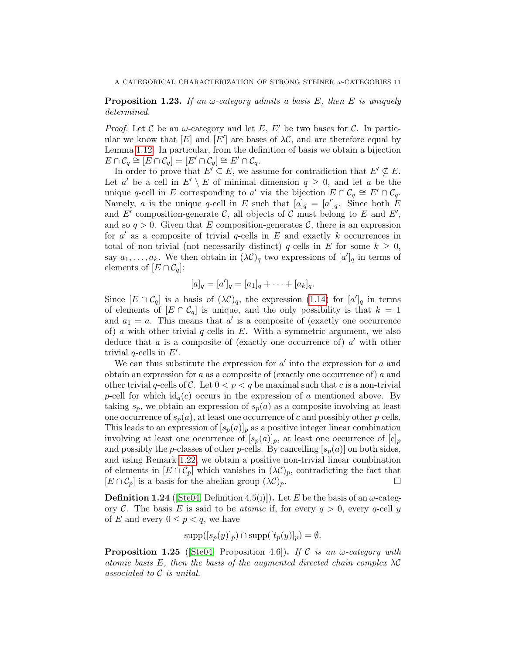# **Proposition 1.23.** If an  $\omega$ -category admits a basis E, then E is uniquely determined.

*Proof.* Let C be an  $\omega$ -category and let E, E' be two bases for C. In particular we know that  $[E]$  and  $[E']$  are bases of  $\lambda \mathcal{C}$ , and are therefore equal by Lemma [1.12.](#page-10-1) In particular, from the definition of basis we obtain a bijection  $E\cap \mathcal{C}_q\cong [E\cap \mathcal{C}_q]=[E'\cap \mathcal{C}_q]\cong E'\cap \mathcal{C}_q.$ 

In order to prove that  $E' \subseteq E$ , we assume for contradiction that  $E' \nsubseteq E$ . Let a' be a cell in  $E' \setminus E$  of minimal dimension  $q \geq 0$ , and let a be the unique q-cell in E corresponding to a' via the bijection  $E \cap C_q \cong E' \cap C_q$ . Namely, a is the unique q-cell in E such that  $[a]_q = [a']_q$ . Since both E and E' composition-generate C, all objects of C must belong to E and E', and so  $q > 0$ . Given that E composition-generates C, there is an expression for  $a'$  as a composite of trivial q-cells in E and exactly k occurrences in total of non-trivial (not necessarily distinct) q-cells in E for some  $k \geq 0$ , say  $a_1, \ldots, a_k$ . We then obtain in  $(\lambda \mathcal{C})_q$  two expressions of  $[a']_q$  in terms of elements of  $[E \cap C_q]$ :

$$
[a]_q = [a']_q = [a_1]_q + \cdots + [a_k]_q.
$$

Since  $[E \cap C_q]$  is a basis of  $(\lambda C)_q$ , the expression [\(1.14\)](#page-10-0) for  $[a']_q$  in terms of elements of  $[E \cap C_q]$  is unique, and the only possibility is that  $k = 1$ and  $a_1 = a$ . This means that a' is a composite of (exactly one occurrence of) a with other trivial  $q$ -cells in E. With a symmetric argument, we also deduce that  $a$  is a composite of (exactly one occurrence of)  $a'$  with other trivial q-cells in  $E'$ .

We can thus substitute the expression for  $a'$  into the expression for  $a$  and obtain an expression for a as a composite of (exactly one occurrence of) a and other trivial q-cells of C. Let  $0 < p < q$  be maximal such that c is a non-trivial p-cell for which  $id_q(c)$  occurs in the expression of a mentioned above. By taking  $s_p$ , we obtain an expression of  $s_p(a)$  as a composite involving at least one occurrence of  $s_p(a)$ , at least one occurrence of c and possibly other p-cells. This leads to an expression of  $[s_p(a)]_p$  as a positive integer linear combination involving at least one occurrence of  $[s_p(a)]_p$ , at least one occurrence of  $[c]_p$ and possibly the *p*-classes of other *p*-cells. By cancelling  $[s_p(a)]$  on both sides, and using Remark [1.22,](#page-11-1) we obtain a positive non-trivial linear combination of elements in  $[E \cap C_p]$  which vanishes in  $(\lambda C)_p$ , contradicting the fact that  $[E \cap C_p]$  is a basis for the abelian group  $(\lambda C)_p$ .

<span id="page-12-1"></span>**Definition 1.24** (Ste04, Definition 4.5(i)). Let E be the basis of an  $\omega$ -category C. The basis E is said to be *atomic* if, for every  $q > 0$ , every q-cell y of E and every  $0 \leq p < q$ , we have

$$
supp([s_p(y)]_p) \cap supp([t_p(y)]_p) = \emptyset.
$$

<span id="page-12-2"></span><span id="page-12-0"></span>**Proposition 1.25** ([\[Ste04,](#page-27-10) Proposition 4.6]). If C is an  $\omega$ -category with atomic basis E, then the basis of the augmented directed chain complex  $\lambda \mathcal{C}$ associated to C is unital.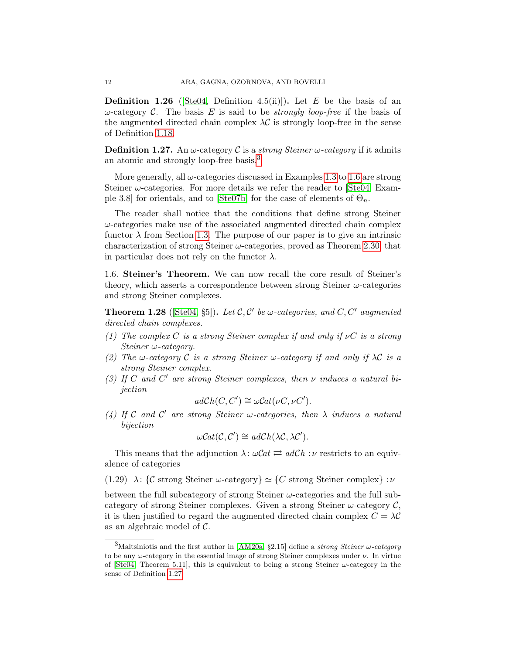**Definition 1.26** (Ste04, Definition 4.5(ii)]). Let E be the basis of an  $ω$ -category C. The basis E is said to be *strongly loop-free* if the basis of the augmented directed chain complex  $\lambda \mathcal{C}$  is strongly loop-free in the sense of Definition [1.18.](#page-11-2)

<span id="page-13-2"></span>**Definition 1.27.** An  $\omega$ -category C is a *strong Steiner*  $\omega$ -category if it admits an atomic and strongly loop-free basis.[3](#page-13-1)

More generally, all  $\omega$ -categories discussed in Examples [1.3](#page-6-1) to [1.6](#page-7-0) are strong Steiner  $\omega$ -categories. For more details we refer the reader to [\[Ste04,](#page-27-10) Exam-ple 3.8] for orientals, and to [\[Ste07b\]](#page-27-16) for the case of elements of  $\Theta_n$ .

The reader shall notice that the conditions that define strong Steiner  $\omega$ -categories make use of the associated augmented directed chain complex functor  $\lambda$  from Section [1.3.](#page-8-1) The purpose of our paper is to give an intrinsic characterization of strong Steiner  $\omega$ -categories, proved as Theorem [2.30,](#page-25-0) that in particular does not rely on the functor  $\lambda$ .

<span id="page-13-0"></span>1.6. Steiner's Theorem. We can now recall the core result of Steiner's theory, which asserts a correspondence between strong Steiner  $\omega$ -categories and strong Steiner complexes.

<span id="page-13-3"></span>**Theorem 1.28** (Ste04, §5)). Let  $\mathcal{C}, \mathcal{C}'$  be  $\omega$ -categories, and  $C, C'$  augmented directed chain complexes.

- (1) The complex C is a strong Steiner complex if and only if  $\nu C$  is a strong Steiner ω-category.
- (2) The w-category C is a strong Steiner w-category if and only if  $\lambda$ C is a strong Steiner complex.
- (3) If C and C' are strong Steiner complexes, then  $\nu$  induces a natural bijection

$$
adCh(C, C') \cong \omega Cat(\nu C, \nu C').
$$

(4) If C and C' are strong Steiner w-categories, then  $\lambda$  induces a natural bijection

$$
\omega Cat(\mathcal{C}, \mathcal{C}') \cong adCh(\lambda \mathcal{C}, \lambda \mathcal{C}').
$$

This means that the adjunction  $\lambda$ :  $\omega$ Cat  $\rightleftarrows adCh : \nu$  restricts to an equivalence of categories

(1.29)  $\lambda$ : {C strong Steiner ω-category}  $\simeq$  {C strong Steiner complex} :  $\nu$ 

between the full subcategory of strong Steiner  $\omega$ -categories and the full subcategory of strong Steiner complexes. Given a strong Steiner  $\omega$ -category  $\mathcal{C}$ , it is then justified to regard the augmented directed chain complex  $C = \lambda C$ as an algebraic model of C.

<span id="page-13-1"></span><sup>&</sup>lt;sup>3</sup>Maltsiniotis and the first author in [\[AM20a,](#page-26-16) §2.15] define a *strong Steiner*  $\omega$ -category to be any  $\omega$ -category in the essential image of strong Steiner complexes under  $\nu$ . In virtue of [\[Ste04,](#page-27-10) Theorem 5.11], this is equivalent to being a strong Steiner  $\omega$ -category in the sense of Definition [1.27.](#page-13-2)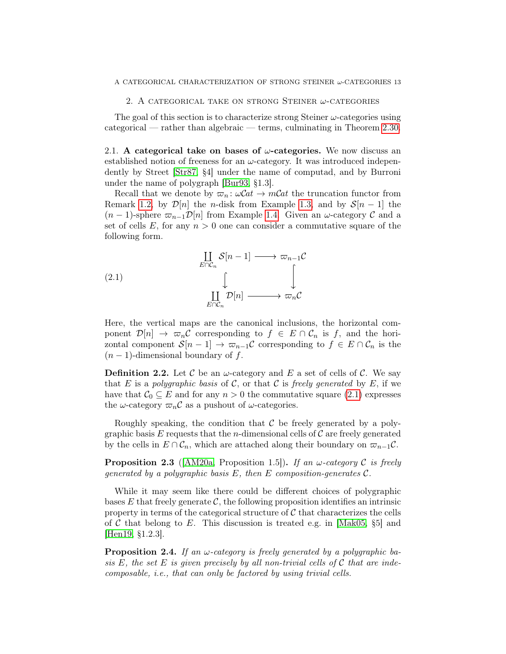#### 2. A CATEGORICAL TAKE ON STRONG STEINER  $\omega$ -CATEGORIES

<span id="page-14-0"></span>The goal of this section is to characterize strong Steiner  $\omega$ -categories using categorical — rather than algebraic — terms, culminating in Theorem [2.30.](#page-25-0)

2.1. A categorical take on bases of  $\omega$ -categories. We now discuss an established notion of freeness for an  $\omega$ -category. It was introduced independently by Street [\[Str87,](#page-27-0) §4] under the name of computad, and by Burroni under the name of polygraph [\[Bur93,](#page-26-12) §1.3].

Recall that we denote by  $\varpi_n : \omega\mathcal{C}at \to m\mathcal{C}at$  the truncation functor from Remark [1.2,](#page-6-2) by  $\mathcal{D}[n]$  the *n*-disk from Example [1.3,](#page-6-1) and by  $\mathcal{S}[n-1]$  the  $(n-1)$ -sphere  $\varpi_{n-1}\mathcal{D}[n]$  from Example [1.4.](#page-6-3) Given an  $\omega$ -category C and a set of cells E, for any  $n > 0$  one can consider a commutative square of the following form.

<span id="page-14-1"></span>(2.1) 
$$
\coprod_{E \cap C_n} S[n-1] \longrightarrow \varpi_{n-1}C
$$

$$
\downarrow \qquad \qquad \downarrow
$$

$$
\coprod_{E \cap C_n} \mathcal{D}[n] \longrightarrow \varpi_nC
$$

Here, the vertical maps are the canonical inclusions, the horizontal component  $\mathcal{D}[n] \to \varpi_n \mathcal{C}$  corresponding to  $f \in E \cap \mathcal{C}_n$  is f, and the horizontal component  $S[n-1] \to \varpi_{n-1}C$  corresponding to  $f \in E \cap C_n$  is the  $(n-1)$ -dimensional boundary of f.

<span id="page-14-2"></span>**Definition 2.2.** Let C be an  $\omega$ -category and E a set of cells of C. We say that E is a polygraphic basis of C, or that C is freely generated by E, if we have that  $C_0 \subseteq E$  and for any  $n > 0$  the commutative square [\(2.1\)](#page-14-1) expresses the  $\omega$ -category  $\varpi_nC$  as a pushout of  $\omega$ -categories.

Roughly speaking, the condition that  $\mathcal C$  be freely generated by a polygraphic basis E requests that the *n*-dimensional cells of  $\mathcal C$  are freely generated by the cells in  $E \cap C_n$ , which are attached along their boundary on  $\varpi_{n-1}C$ .

<span id="page-14-3"></span>**Proposition 2.3** ([\[AM20a,](#page-26-16) Proposition 1.5]). If an  $\omega$ -category C is freely generated by a polygraphic basis  $E$ , then  $E$  composition-generates  $\mathcal{C}$ .

While it may seem like there could be different choices of polygraphic bases E that freely generate  $\mathcal{C}$ , the following proposition identifies an intrinsic property in terms of the categorical structure of  $C$  that characterizes the cells of C that belong to E. This discussion is treated e.g. in [\[Mak05,](#page-27-17)  $\S5$ ] and [\[Hen19,](#page-27-18) §1.2.3].

**Proposition 2.4.** If an  $\omega$ -category is freely generated by a polygraphic basis E, the set E is given precisely by all non-trivial cells of  $\mathcal C$  that are indecomposable, i.e., that can only be factored by using trivial cells.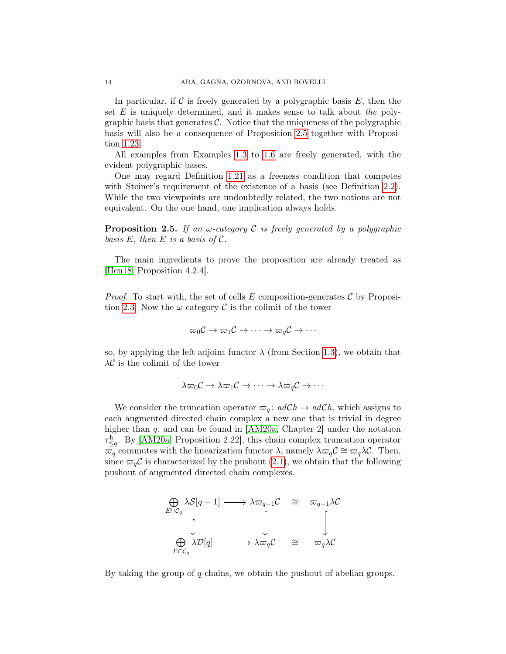In particular, if C is freely generated by a polygraphic basis  $E$ , then the set  $E$  is uniquely determined, and it makes sense to talk about the polygraphic basis that generates  $\mathcal{C}$ . Notice that the uniqueness of the polygraphic basis will also be a consequence of Proposition [2.5](#page-15-0) together with Proposition [1.23.](#page-11-3)

All examples from Examples [1.3](#page-6-1) to [1.6](#page-7-0) are freely generated, with the evident polygraphic bases.

One may regard Definition [1.21](#page-11-0) as a freeness condition that competes with Steiner's requirement of the existence of a basis (see Definition [2.2\)](#page-14-2). While the two viewpoints are undoubtedly related, the two notions are not equivalent. On the one hand, one implication always holds.

<span id="page-15-0"></span>**Proposition 2.5.** If an  $\omega$ -category C is freely generated by a polygraphic basis  $E$ , then  $E$  is a basis of  $\mathcal{C}$ .

The main ingredients to prove the proposition are already treated as [\[Hen18,](#page-26-10) Proposition 4.2.4].

*Proof.* To start with, the set of cells E composition-generates  $\mathcal C$  by Proposi-tion [2.3.](#page-14-3) Now the  $\omega$ -category C is the colimit of the tower

$$
\varpi_0{\mathcal C}\to\varpi_1{\mathcal C}\to\cdots\to\varpi_q{\mathcal C}\to\cdots
$$

so, by applying the left adjoint functor  $\lambda$  (from Section [1.3\)](#page-8-1), we obtain that  $\lambda \mathcal{C}$  is the colimit of the tower

$$
\lambda \varpi_0 C \to \lambda \varpi_1 C \to \cdots \to \lambda \varpi_q C \to \cdots
$$

We consider the truncation operator  $\varpi_q$ :  $adCh \to adCh$ , which assigns to each augmented directed chain complex a new one that is trivial in degree higher than  $q$ , and can be found in  $[AM20a, Chapter 2]$  $[AM20a, Chapter 2]$  under the notation  $\tau_{\leq q}^{\rm b}$ . By [\[AM20a,](#page-26-16) Proposition 2.22], this chain complex truncation operator  $\overline{\omega}_q$  commutes with the linearization functor  $\lambda$ , namely  $\lambda \overline{\omega}_q C \cong \overline{\omega}_q \lambda C$ . Then, since  $\varpi_{q}C$  is characterized by the pushout [\(2.1\)](#page-14-1), we obtain that the following pushout of augmented directed chain complexes.



By taking the group of  $q$ -chains, we obtain the pushout of abelian groups.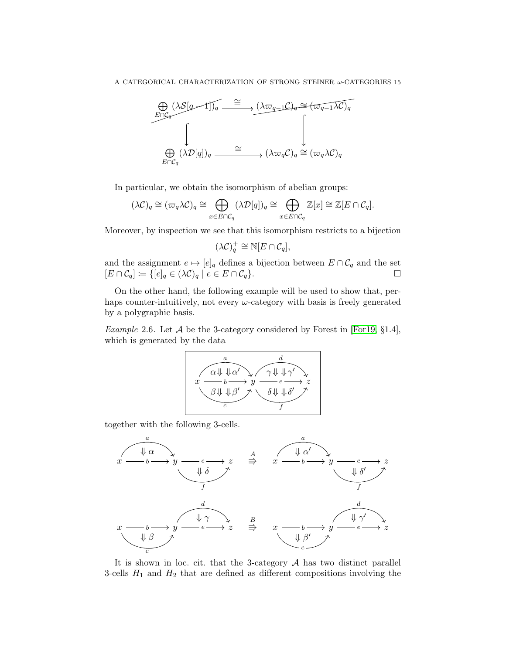

In particular, we obtain the isomorphism of abelian groups:

$$
(\lambda \mathcal{C})_q \cong (\varpi_q \lambda \mathcal{C})_q \cong \bigoplus_{x \in E \cap \mathcal{C}_q} (\lambda \mathcal{D}[q])_q \cong \bigoplus_{x \in E \cap \mathcal{C}_q} \mathbb{Z}[x] \cong \mathbb{Z}[E \cap \mathcal{C}_q].
$$

Moreover, by inspection we see that this isomorphism restricts to a bijection

$$
(\lambda \mathcal{C})_q^+ \cong \mathbb{N}[E \cap \mathcal{C}_q],
$$

and the assignment  $e \mapsto [e]_q$  defines a bijection between  $E \cap C_q$  and the set  $[E \cap C_q] \coloneqq \{[e]_q \in (\lambda C)_q \mid e \in E \cap C_q\}.$ 

On the other hand, the following example will be used to show that, perhaps counter-intuitively, not every  $\omega$ -category with basis is freely generated by a polygraphic basis.

<span id="page-16-0"></span>*Example* 2.6. Let  $\mathcal A$  be the 3-category considered by Forest in [\[For19,](#page-26-20) §1.4], which is generated by the data



together with the following 3-cells.



It is shown in loc. cit. that the 3-category  $A$  has two distinct parallel 3-cells  $H_1$  and  $H_2$  that are defined as different compositions involving the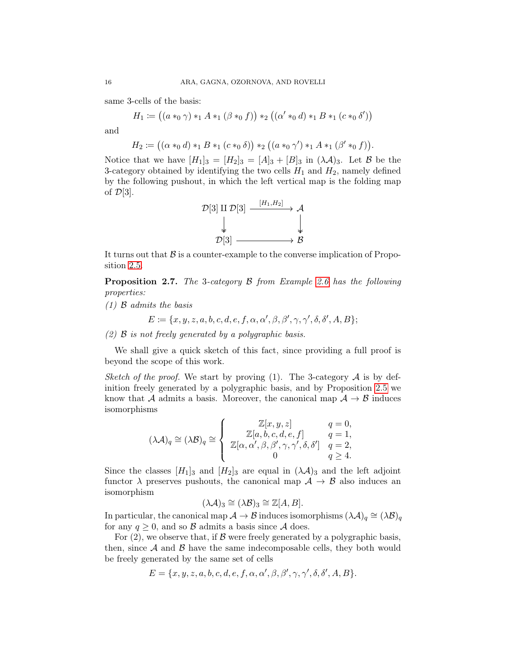same 3-cells of the basis:

$$
H_1 := ((a*_0 \gamma) *_1 A *_1 (\beta *_0 f)) *_2 ((\alpha' *_0 d) *_1 B *_1 (c *_0 \delta'))
$$

and

$$
H_2 := ((\alpha *_{0} d) *_{1} B *_{1} (c *_{0} \delta)) *_{2} ((a *_{0} \gamma') *_{1} A *_{1} (\beta' *_{0} f)).
$$

Notice that we have  $[H_1]_3 = [H_2]_3 = [A]_3 + [B]_3$  in  $(\lambda \mathcal{A})_3$ . Let  $\mathcal{B}$  be the 3-category obtained by identifying the two cells  $H_1$  and  $H_2$ , namely defined by the following pushout, in which the left vertical map is the folding map of  $\mathcal{D}[3]$ .



It turns out that  $\beta$  is a counter-example to the converse implication of Proposition [2.5.](#page-15-0)

**Proposition 2.7.** The 3-category  $\beta$  from Example [2.6](#page-16-0) has the following properties:

 $(1)$  B admits the basis

$$
E := \{x, y, z, a, b, c, d, e, f, \alpha, \alpha', \beta, \beta', \gamma, \gamma', \delta, \delta', A, B\};
$$

(2) B is not freely generated by a polygraphic basis.

We shall give a quick sketch of this fact, since providing a full proof is beyond the scope of this work.

Sketch of the proof. We start by proving (1). The 3-category  $A$  is by definition freely generated by a polygraphic basis, and by Proposition [2.5](#page-15-0) we know that A admits a basis. Moreover, the canonical map  $A \rightarrow B$  induces isomorphisms

$$
(\lambda \mathcal{A})_q \cong (\lambda \mathcal{B})_q \cong \begin{cases} \mathbb{Z}[x, y, z] & q = 0, \\ \mathbb{Z}[a, b, c, d, e, f] & q = 1, \\ \mathbb{Z}[\alpha, \alpha', \beta, \beta', \gamma, \gamma', \delta, \delta'] & q = 2, \\ 0 & q \ge 4. \end{cases}
$$

Since the classes  $[H_1]_3$  and  $[H_2]_3$  are equal in  $(\lambda \mathcal{A})_3$  and the left adjoint functor  $\lambda$  preserves pushouts, the canonical map  $\mathcal{A} \to \mathcal{B}$  also induces an isomorphism

$$
(\lambda \mathcal{A})_3 \cong (\lambda \mathcal{B})_3 \cong \mathbb{Z}[A, B].
$$

In particular, the canonical map  $\mathcal{A} \to \mathcal{B}$  induces isomorphisms  $(\lambda \mathcal{A})_q \cong (\lambda \mathcal{B})_q$ for any  $q \geq 0$ , and so  $\beta$  admits a basis since  $\mathcal A$  does.

For  $(2)$ , we observe that, if  $\beta$  were freely generated by a polygraphic basis, then, since  $A$  and  $B$  have the same indecomposable cells, they both would be freely generated by the same set of cells

$$
E = \{x, y, z, a, b, c, d, e, f, \alpha, \alpha', \beta, \beta', \gamma, \gamma', \delta, \delta', A, B\}.
$$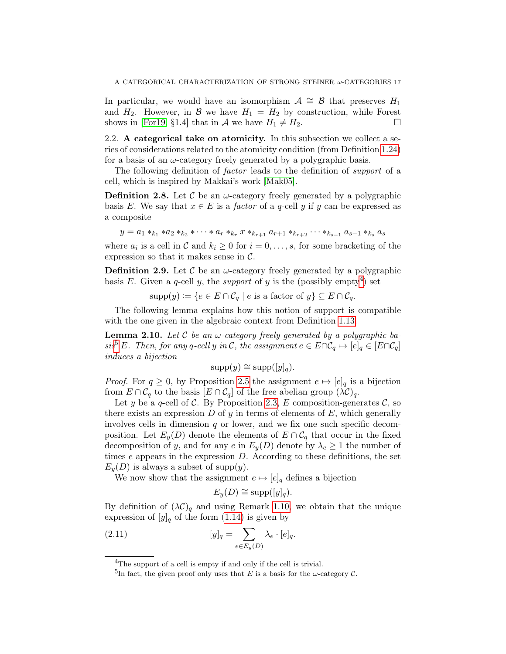In particular, we would have an isomorphism  $\mathcal{A} \cong \mathcal{B}$  that preserves  $H_1$ and  $H_2$ . However, in B we have  $H_1 = H_2$  by construction, while Forest shows in [\[For19,](#page-26-20) §1.4] that in A we have  $H_1 \neq H_2$ .

2.2. A categorical take on atomicity. In this subsection we collect a series of considerations related to the atomicity condition (from Definition [1.24\)](#page-12-1) for a basis of an  $\omega$ -category freely generated by a polygraphic basis.

The following definition of *factor* leads to the definition of *support* of a cell, which is inspired by Makkai's work [\[Mak05\]](#page-27-17).

**Definition 2.8.** Let C be an  $\omega$ -category freely generated by a polygraphic basis E. We say that  $x \in E$  is a *factor* of a *q*-cell y if y can be expressed as a composite

$$
y = a_1 *_{k_1} * a_2 *_{k_2} * \cdots * a_r *_{k_r} x *_{k_{r+1}} a_{r+1} *_{k_{r+2}} \cdots *_{k_{s-1}} a_{s-1} *_{k_s} a_s
$$

where  $a_i$  is a cell in  $\mathcal C$  and  $k_i \geq 0$  for  $i = 0, \ldots, s$ , for some bracketing of the expression so that it makes sense in  $\mathcal{C}$ .

**Definition 2.9.** Let C be an  $\omega$ -category freely generated by a polygraphic basis E. Given a q-cell y, the support of y is the (possibly empty<sup>[4](#page-18-0)</sup>) set

 $\text{supp}(y) \coloneqq \{e \in E \cap C_q \mid e \text{ is a factor of } y\} \subseteq E \cap C_q.$ 

The following lemma explains how this notion of support is compatible with the one given in the algebraic context from Definition [1.13.](#page-10-2)

<span id="page-18-2"></span>**Lemma 2.10.** Let C be an  $\omega$ -category freely generated by a polygraphic ba-sis<sup>[5](#page-18-1)</sup> E. Then, for any q-cell y in C, the assignment  $e \in E \cap C_q \mapsto [e]_q \in [E \cap C_q]$ induces a bijection

$$
supp(y) \cong supp([y]_q).
$$

*Proof.* For  $q \geq 0$ , by Proposition [2.5](#page-15-0) the assignment  $e \mapsto [e]_q$  is a bijection from  $E \cap C_q$  to the basis  $[E \cap C_q]$  of the free abelian group  $(\lambda C)_q$ .

Let y be a q-cell of C. By Proposition [2.3,](#page-14-3) E composition-generates  $\mathcal{C}$ , so there exists an expression  $D$  of  $y$  in terms of elements of  $E$ , which generally involves cells in dimension  $q$  or lower, and we fix one such specific decomposition. Let  $E_y(D)$  denote the elements of  $E \cap C_q$  that occur in the fixed decomposition of y, and for any e in  $E_y(D)$  denote by  $\lambda_e \geq 1$  the number of times  $e$  appears in the expression  $D$ . According to these definitions, the set  $E_y(D)$  is always a subset of supp(y).

We now show that the assignment  $e \mapsto [e]_q$  defines a bijection

$$
E_y(D) \cong \text{supp}([y]_q).
$$

By definition of  $(\lambda C)_q$  and using Remark [1.10,](#page-9-0) we obtain that the unique expression of  $[y]_q$  of the form [\(1.14\)](#page-10-0) is given by

(2.11) 
$$
[y]_q = \sum_{e \in E_y(D)} \lambda_e \cdot [e]_q.
$$

<span id="page-18-0"></span> ${}^{4}$ The support of a cell is empty if and only if the cell is trivial.

<span id="page-18-1"></span><sup>&</sup>lt;sup>5</sup>In fact, the given proof only uses that E is a basis for the  $\omega$ -category C.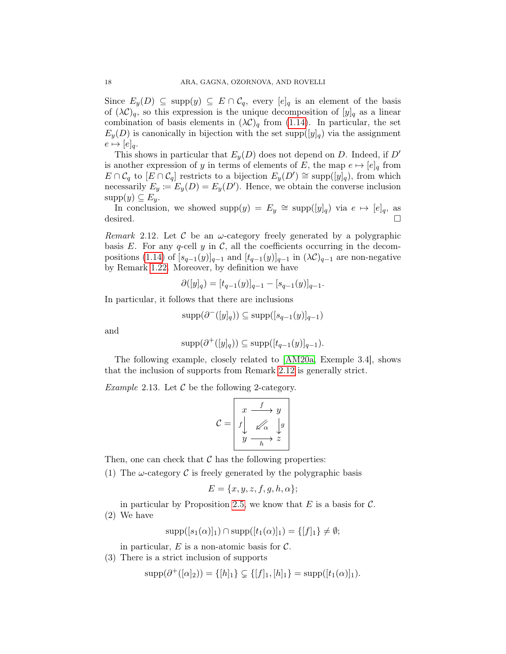Since  $E_y(D) \subseteq \text{supp}(y) \subseteq E \cap C_q$ , every  $[e]_q$  is an element of the basis of  $(\lambda \mathcal{C})_q$ , so this expression is the unique decomposition of  $[y]_q$  as a linear combination of basis elements in  $(\lambda \mathcal{C})_q$  from [\(1.14\)](#page-10-0). In particular, the set  $E_y(D)$  is canonically in bijection with the set supp $([y]_q)$  via the assignment  $e \mapsto [e]_q.$ 

This shows in particular that  $E_y(D)$  does not depend on D. Indeed, if D' is another expression of y in terms of elements of E, the map  $e \mapsto [e]_q$  from  $E \cap C_q$  to  $[E \cap C_q]$  restricts to a bijection  $E_y(D') \cong \text{supp}([y]_q)$ , from which necessarily  $E_y := E_y(D) = E_y(D')$ . Hence, we obtain the converse inclusion  $supp(y) \subseteq E_y$ .

In conclusion, we showed supp $(y) = E_y \cong \text{supp}([y]_q)$  via  $e \mapsto [e]_q$ , as desired.  $\Box$ 

<span id="page-19-0"></span>Remark 2.12. Let C be an  $\omega$ -category freely generated by a polygraphic basis E. For any q-cell y in C, all the coefficients occurring in the decom-positions [\(1.14\)](#page-10-0) of  $[s_{q-1}(y)]_{q-1}$  and  $[t_{q-1}(y)]_{q-1}$  in  $(\lambda \mathcal{C})_{q-1}$  are non-negative by Remark [1.22.](#page-11-1) Moreover, by definition we have

$$
\partial([y]_q) = [t_{q-1}(y)]_{q-1} - [s_{q-1}(y)]_{q-1}.
$$

In particular, it follows that there are inclusions

$$
\mathrm{supp}(\partial^{-}([y]_q)) \subseteq \mathrm{supp}([s_{q-1}(y)]_{q-1})
$$

and

$$
supp(\partial^+([y]_q)) \subseteq supp([t_{q-1}(y)]_{q-1}).
$$

The following example, closely related to [\[AM20a,](#page-26-16) Exemple 3.4], shows that the inclusion of supports from Remark [2.12](#page-19-0) is generally strict.

<span id="page-19-2"></span>*Example* 2.13. Let  $\mathcal C$  be the following 2-category.

$$
\mathcal{C} = \begin{bmatrix} x & \xrightarrow{f} & y \\ f \downarrow & \nearrow & \downarrow g \\ y & \xrightarrow{h} & z \end{bmatrix}
$$

Then, one can check that  $\mathcal C$  has the following properties:

(1) The  $\omega$ -category C is freely generated by the polygraphic basis

$$
E = \{x, y, z, f, g, h, \alpha\};
$$

in particular by Proposition [2.5,](#page-15-0) we know that  $E$  is a basis for  $\mathcal{C}$ . (2) We have

$$
supp([s_1(\alpha)]_1) \cap supp([t_1(\alpha)]_1) = \{[f]_1\} \neq \emptyset;
$$

in particular,  $E$  is a non-atomic basis for  $\mathcal{C}$ .

<span id="page-19-1"></span>(3) There is a strict inclusion of supports

$$
supp(\partial^+([\alpha]_2)) = \{ [h]_1 \} \subsetneq \{ [f]_1, [h]_1 \} = supp([t_1(\alpha)]_1).
$$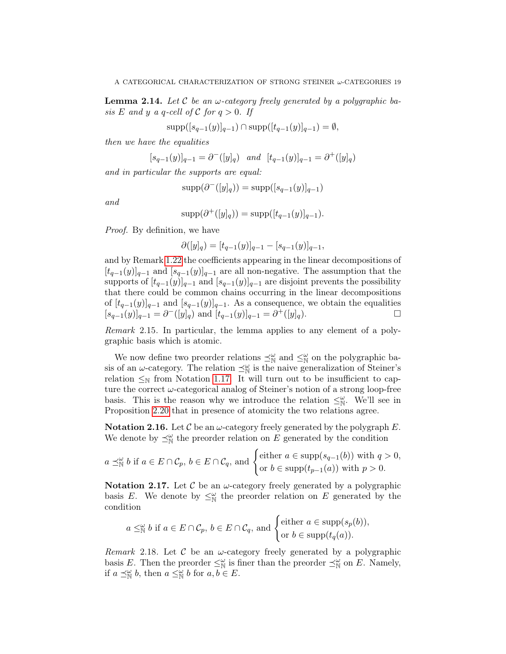**Lemma 2.14.** Let C be an  $\omega$ -category freely generated by a polygraphic basis E and y a q-cell of C for  $q > 0$ . If

$$
\mathrm{supp}([s_{q-1}(y)]_{q-1}) \cap \mathrm{supp}([t_{q-1}(y)]_{q-1}) = \emptyset,
$$

then we have the equalities

$$
[s_{q-1}(y)]_{q-1} = \partial^-([y]_q) \quad and \quad [t_{q-1}(y)]_{q-1} = \partial^+([y]_q)
$$

and in particular the supports are equal:

$$
supp(\partial^{-}([y]_q)) = supp([s_{q-1}(y)]_{q-1})
$$

and

$$
supp(\partial^+([y]_q)) = supp([t_{q-1}(y)]_{q-1}).
$$

Proof. By definition, we have

$$
\partial([y]_q) = [t_{q-1}(y)]_{q-1} - [s_{q-1}(y)]_{q-1},
$$

and by Remark [1.22](#page-11-1) the coefficients appearing in the linear decompositions of  $[t_{q-1}(y)]_{q-1}$  and  $[s_{q-1}(y)]_{q-1}$  are all non-negative. The assumption that the supports of  $[t_{q-1}(y)]_{q-1}$  and  $[s_{q-1}(y)]_{q-1}$  are disjoint prevents the possibility that there could be common chains occurring in the linear decompositions of  $[t_{q-1}(y)]_{q-1}$  and  $[s_{q-1}(y)]_{q-1}$ . As a consequence, we obtain the equalities  $[s_{q-1}(y)]_{q-1} = \partial^{-}([y]_q)$  and  $[t_{q-1}(y)]_{q-1} = \partial^{+}([y]_q)$ .

Remark 2.15. In particular, the lemma applies to any element of a polygraphic basis which is atomic.

We now define two preorder relations  $\preceq^{\omega}_{\mathbb{N}}$  and  $\leq^{\omega}_{\mathbb{N}}$  on the polygraphic basis of an  $\omega$ -category. The relation  $\preceq^{\omega}_{\mathbb{N}}$  is the naive generalization of Steiner's relation  $\leq_N$  from Notation [1.17.](#page-11-4) It will turn out to be insufficient to capture the correct  $\omega$ -categorical analog of Steiner's notion of a strong loop-free basis. This is the reason why we introduce the relation  $\leq^{\omega}_{\mathbb{N}}$ . We'll see in Proposition [2.20](#page-21-0) that in presence of atomicity the two relations agree.

**Notation 2.16.** Let C be an  $\omega$ -category freely generated by the polygraph E. We denote by  $\preceq^{\omega}_{\mathbb{N}}$  the preorder relation on E generated by the condition

$$
a \preceq_{\mathbb{N}}^{\omega} b
$$
 if  $a \in E \cap C_p$ ,  $b \in E \cap C_q$ , and  $\begin{cases} \text{either } a \in \text{supp}(s_{q-1}(b)) \text{ with } q > 0, \\ \text{or } b \in \text{supp}(t_{p-1}(a)) \text{ with } p > 0. \end{cases}$ 

**Notation 2.17.** Let C be an  $\omega$ -category freely generated by a polygraphic basis E. We denote by  $\leq^{\omega}_{\mathbb{N}}$  the preorder relation on E generated by the condition

$$
a \leq^{\omega}_{\mathbb{N}} b
$$
 if  $a \in E \cap C_p$ ,  $b \in E \cap C_q$ , and  $\begin{cases} \text{either } a \in \text{supp}(s_p(b)), \\ \text{or } b \in \text{supp}(t_q(a)). \end{cases}$ 

<span id="page-20-0"></span>*Remark* 2.18. Let  $\mathcal C$  be an  $\omega$ -category freely generated by a polygraphic basis E. Then the preorder  $\leq^{\omega}_{\mathbb{N}}$  is finer than the preorder  $\preceq^{\omega}_{\mathbb{N}}$  on E. Namely, if  $a \preceq_{\mathbb{N}}^{\omega} b$ , then  $a \leq_{\mathbb{N}}^{\omega} b$  for  $a, b \in E$ .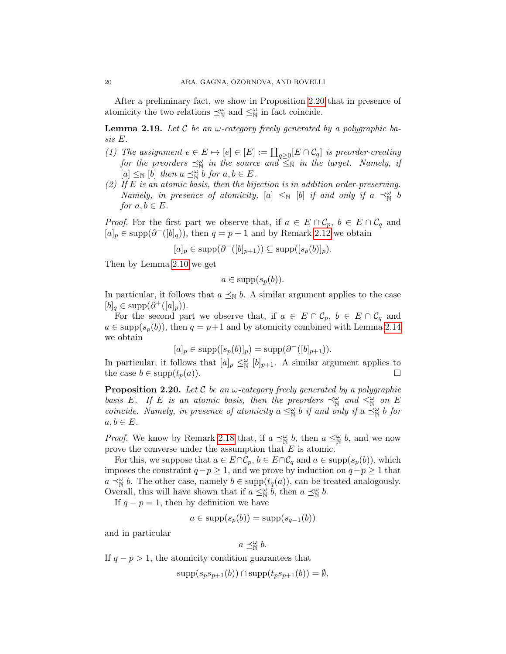After a preliminary fact, we show in Proposition [2.20](#page-21-0) that in presence of atomicity the two relations  $\preceq^{\omega}_{\mathbb{N}}$  and  $\preceq^{\omega}_{\mathbb{N}}$  in fact coincide.

<span id="page-21-1"></span>**Lemma 2.19.** Let C be an  $\omega$ -category freely generated by a polygraphic basis E.

- (1) The assignment  $e \in E \mapsto [e] \in [E] := \coprod_{q \geq 0} [E \cap C_q]$  is preorder-creating for the preorders  $\preceq^{\omega}_{\mathbb{N}}$  in the source and  $\preceq^{\omega}_{\mathbb{N}}$  in the target. Namely, if  $[a] \leq_{\mathbb{N}} [b]$  then  $a \preceq_{\mathbb{N}}^{\omega} b$  for  $a, b \in E$ .
- (2) If E is an atomic basis, then the bijection is in addition order-preserving. Namely, in presence of atomicity,  $[a] \leq_{\mathbb{N}} [b]$  if and only if  $a \preceq_{\mathbb{N}}^{\omega} b$ for  $a, b \in E$ .

*Proof.* For the first part we observe that, if  $a \in E \cap C_p$ ,  $b \in E \cap C_q$  and  $[a]_p \in \text{supp}(\partial^{-}([b]_q)),$  then  $q = p + 1$  and by Remark [2.12](#page-19-0) we obtain

$$
[a]_p \in \text{supp}(\partial^{-}([b]_{p+1})) \subseteq \text{supp}([s_p(b)]_p).
$$

Then by Lemma [2.10](#page-18-2) we get

$$
a \in \text{supp}(s_p(b)).
$$

In particular, it follows that  $a \preceq_{\mathbb{N}} b$ . A similar argument applies to the case  $[b]_q \in \text{supp}(\partial^+([a]_p)).$ 

For the second part we observe that, if  $a \in E \cap C_p$ ,  $b \in E \cap C_q$  and  $a \in \text{supp}(s_p(b))$ , then  $q = p+1$  and by atomicity combined with Lemma [2.14](#page-19-1) we obtain

$$
[a]_p \in \text{supp}([s_p(b)]_p) = \text{supp}(\partial^{-}([b]_{p+1})).
$$

In particular, it follows that  $[a]_p \leq^{\omega}_{\mathbb{N}} [b]_{p+1}$ . A similar argument applies to the case  $b \in \text{supp}(t_p(a)).$ 

<span id="page-21-0"></span>**Proposition 2.20.** Let C be an  $\omega$ -category freely generated by a polygraphic basis E. If E is an atomic basis, then the preorders  $\preceq^{\omega}_{\mathbb{N}}$  and  $\leq^{\omega}_{\mathbb{N}}$  on E coincide. Namely, in presence of atomicity  $a \leq^{\omega}_{\mathbb{N}} b$  if and only if  $a \leq^{\omega}_{\mathbb{N}} b$  for  $a, b \in E$ .

*Proof.* We know by Remark [2.18](#page-20-0) that, if  $a \preceq^{\omega}_{\mathbb{N}} b$ , then  $a \leq^{\omega}_{\mathbb{N}} b$ , and we now prove the converse under the assumption that  $E$  is atomic.

For this, we suppose that  $a \in E \cap C_p$ ,  $b \in E \cap C_q$  and  $a \in \text{supp}(s_p(b))$ , which imposes the constraint  $q-p \geq 1$ , and we prove by induction on  $q-p \geq 1$  that  $a \preceq^{\omega}_{\mathbb{N}} b$ . The other case, namely  $b \in \text{supp}(t_q(a))$ , can be treated analogously. Overall, this will have shown that if  $a \leq^{\omega}_{\mathbb{N}} b$ , then  $a \leq^{\omega}_{\mathbb{N}} b$ .

If  $q - p = 1$ , then by definition we have

$$
a \in \text{supp}(s_p(b)) = \text{supp}(s_{q-1}(b))
$$

and in particular

$$
a \preceq^{\omega}_{\mathbb{N}} b
$$
.

If  $q - p > 1$ , the atomicity condition guarantees that

$$
supp(s_p s_{p+1}(b)) \cap supp(t_p s_{p+1}(b)) = \emptyset,
$$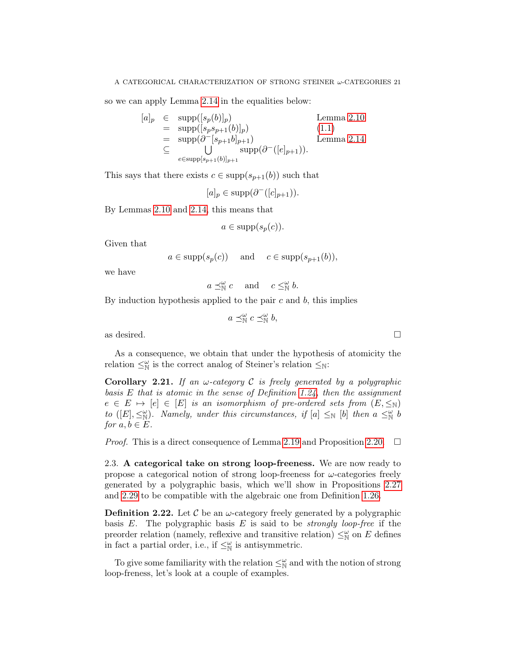so we can apply Lemma [2.14](#page-19-1) in the equalities below:

$$
[a]_p \in \text{supp}([s_p(b)]_p) \qquad \text{Lemma 2.10}
$$
  
= 
$$
\text{supp}([s_p s_{p+1}(b)]_p)
$$
  
= 
$$
\text{supp}(\partial^{-}[s_{p+1}b]_{p+1}) \qquad \text{Lemma 2.14}
$$
  

$$
\subseteq \bigcup_{e \in \text{supp}[s_{p+1}(b)]_{p+1}}^{\text{supp}}(\partial^{-}([e]_{p+1})).
$$

This says that there exists  $c \in \text{supp}(s_{p+1}(b))$  such that

 $[a]_p \in \text{supp}(\partial^{-}([c]_{p+1})).$ 

By Lemmas [2.10](#page-18-2) and [2.14,](#page-19-1) this means that

 $a \in \text{supp}(s_p(c)).$ 

Given that

$$
a \in \text{supp}(s_p(c))
$$
 and  $c \in \text{supp}(s_{p+1}(b)),$ 

we have

 $a \preceq_{\mathbb{N}}^{\omega} c$  and  $c \leq_{\mathbb{N}}^{\omega} b$ .

By induction hypothesis applied to the pair  $c$  and  $b$ , this implies

 $a \preceq_{\mathbb{N}}^{\omega} c \preceq_{\mathbb{N}}^{\omega} b,$ 

as desired.  $\Box$ 

As a consequence, we obtain that under the hypothesis of atomicity the relation  $\leq^{\omega}_{\mathbb{N}}$  is the correct analog of Steiner's relation  $\leq_{\mathbb{N}}$ :

<span id="page-22-1"></span>Corollary 2.21. If an  $\omega$ -category C is freely generated by a polygraphic basis  $E$  that is atomic in the sense of Definition [1.24,](#page-12-1) then the assignment  $e \in E \mapsto [e] \in [E]$  is an isomorphism of pre-ordered sets from  $(E, \leq_N)$ to ([E],  $\leq^{\omega}_{\mathbb{N}}$ ). Namely, under this circumstances, if [a]  $\leq_{\mathbb{N}}$  [b] then  $a \leq^{\omega}_{\mathbb{N}} b$ for  $a, b \in E$ .

*Proof.* This is a direct consequence of Lemma [2.19](#page-21-1) and Proposition [2.20.](#page-21-0)  $\Box$ 

2.3. A categorical take on strong loop-freeness. We are now ready to propose a categorical notion of strong loop-freeness for  $\omega$ -categories freely generated by a polygraphic basis, which we'll show in Propositions [2.27](#page-24-0) and [2.29](#page-25-1) to be compatible with the algebraic one from Definition [1.26.](#page-12-0)

<span id="page-22-0"></span>**Definition 2.22.** Let C be an  $\omega$ -category freely generated by a polygraphic basis  $E$ . The polygraphic basis  $E$  is said to be *strongly loop-free* if the preorder relation (namely, reflexive and transitive relation)  $\leq^{\omega}_{\mathbb{N}}$  on E defines in fact a partial order, i.e., if  $\leq^{\omega}_{\mathbb{N}}$  is antisymmetric.

To give some familiarity with the relation  $\leq^{\omega}_{\mathbb{N}}$  and with the notion of strong loop-freness, let's look at a couple of examples.

$$
\Box
$$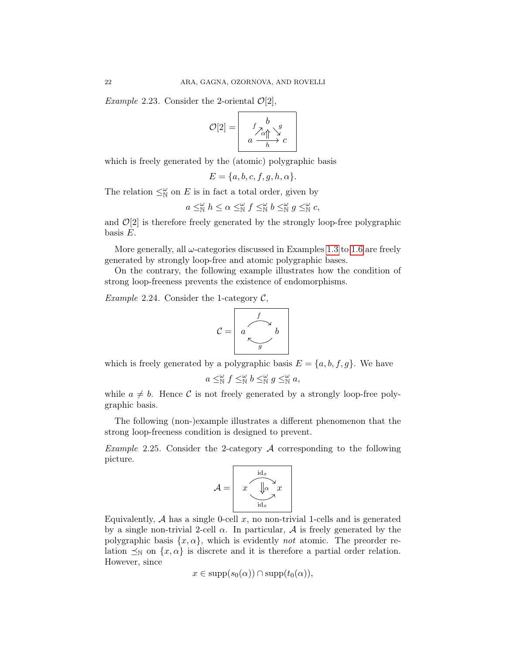*Example* 2.23. Consider the 2-oriental  $\mathcal{O}[2]$ ,

$$
\mathcal{O}[2] = \begin{bmatrix} b & g \\ f \nearrow \alpha \uparrow \searrow g \\ a & h \rightarrow c \end{bmatrix}
$$

which is freely generated by the (atomic) polygraphic basis

$$
E = \{a, b, c, f, g, h, \alpha\}.
$$

The relation  $\leq^{\omega}_{\mathbb{N}}$  on E is in fact a total order, given by

$$
a \leq^{\omega}_{\mathbb{N}} h \leq \alpha \leq^{\omega}_{\mathbb{N}} f \leq^{\omega}_{\mathbb{N}} b \leq^{\omega}_{\mathbb{N}} g \leq^{\omega}_{\mathbb{N}} c,
$$

and  $\mathcal{O}[2]$  is therefore freely generated by the strongly loop-free polygraphic basis E.

More generally, all  $\omega$ -categories discussed in Examples [1.3](#page-6-1) to [1.6](#page-7-0) are freely generated by strongly loop-free and atomic polygraphic bases.

On the contrary, the following example illustrates how the condition of strong loop-freeness prevents the existence of endomorphisms.

*Example 2.24.* Consider the 1-category  $\mathcal{C}$ ,

$$
C = \begin{array}{c} f \\ a \\ \hline \\ g \end{array} b
$$

which is freely generated by a polygraphic basis  $E = \{a, b, f, g\}$ . We have

$$
a \leq^{\omega}_{\mathbb{N}} f \leq^{\omega}_{\mathbb{N}} b \leq^{\omega}_{\mathbb{N}} g \leq^{\omega}_{\mathbb{N}} a,
$$

while  $a \neq b$ . Hence C is not freely generated by a strongly loop-free polygraphic basis.

The following (non-)example illustrates a different phenomenon that the strong loop-freeness condition is designed to prevent.

*Example* 2.25. Consider the 2-category  $\mathcal A$  corresponding to the following picture.

$$
\mathcal{A} = \begin{bmatrix} \n\operatorname{id}_x \\ \n\mathcal{X} & \n\end{bmatrix} \mathcal{A} \mathcal{X}
$$

Equivalently,  $A$  has a single 0-cell  $x$ , no non-trivial 1-cells and is generated by a single non-trivial 2-cell  $\alpha$ . In particular,  $\mathcal A$  is freely generated by the polygraphic basis  $\{x, \alpha\}$ , which is evidently not atomic. The preorder relation  $\preceq_{\mathbb{N}}$  on  $\{x, \alpha\}$  is discrete and it is therefore a partial order relation. However, since

$$
x \in \mathrm{supp}(s_0(\alpha)) \cap \mathrm{supp}(t_0(\alpha)),
$$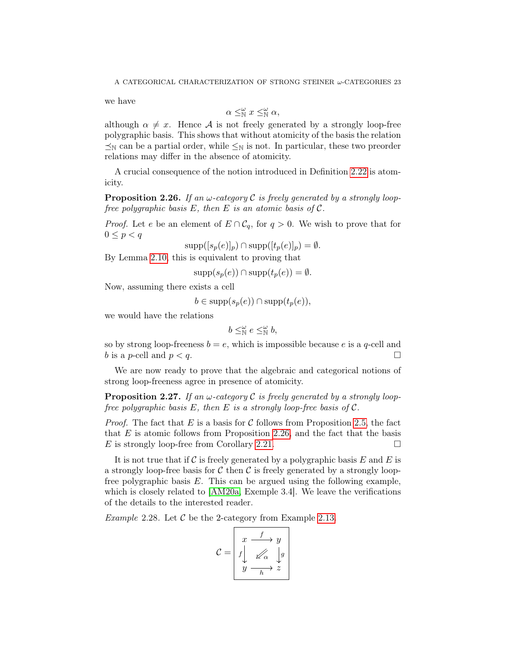we have

$$
\alpha \leq^{\omega}_{\mathbb{N}} x \leq^{\omega}_{\mathbb{N}} \alpha,
$$

although  $\alpha \neq x$ . Hence A is not freely generated by a strongly loop-free polygraphic basis. This shows that without atomicity of the basis the relation  $\leq_N$  can be a partial order, while  $\leq_N$  is not. In particular, these two preorder relations may differ in the absence of atomicity.

A crucial consequence of the notion introduced in Definition [2.22](#page-22-0) is atomicity.

<span id="page-24-1"></span>**Proposition 2.26.** If an  $\omega$ -category C is freely generated by a strongly loopfree polygraphic basis  $E$ , then  $E$  is an atomic basis of  $\mathcal{C}$ .

*Proof.* Let e be an element of  $E \cap C_q$ , for  $q > 0$ . We wish to prove that for  $0 \leq p < q$ 

 $\text{supp}([s_p(e)]_p) \cap \text{supp}([t_p(e)]_p) = \emptyset.$ 

By Lemma [2.10,](#page-18-2) this is equivalent to proving that

$$
supp(s_p(e)) \cap supp(t_p(e)) = \emptyset.
$$

Now, assuming there exists a cell

 $b \in \text{supp}(s_n(e)) \cap \text{supp}(t_n(e)),$ 

we would have the relations

$$
b \leq^{\omega}_{\mathbb{N}} e \leq^{\omega}_{\mathbb{N}} b,
$$

so by strong loop-freeness  $b = e$ , which is impossible because e is a q-cell and b is a p-cell and  $p < q$ .

We are now ready to prove that the algebraic and categorical notions of strong loop-freeness agree in presence of atomicity.

<span id="page-24-0"></span>**Proposition 2.27.** If an  $\omega$ -category C is freely generated by a strongly loopfree polygraphic basis  $E$ , then  $E$  is a strongly loop-free basis of  $C$ .

*Proof.* The fact that E is a basis for C follows from Proposition [2.5,](#page-15-0) the fact that  $E$  is atomic follows from Proposition [2.26,](#page-24-1) and the fact that the basis E is strongly loop-free from Corollary [2.21.](#page-22-1)

It is not true that if C is freely generated by a polygraphic basis E and E is a strongly loop-free basis for  $\mathcal C$  then  $\mathcal C$  is freely generated by a strongly loopfree polygraphic basis  $E$ . This can be argued using the following example, which is closely related to [\[AM20a,](#page-26-16) Exemple 3.4]. We leave the verifications of the details to the interested reader.

<span id="page-24-2"></span>*Example 2.28.* Let  $\mathcal C$  be the 2-category from Example [2.13.](#page-19-2)

$$
\mathcal{C} = \begin{vmatrix} x & f & y \\ f & \swarrow \alpha & g \\ y & \xrightarrow{h} & z \end{vmatrix}
$$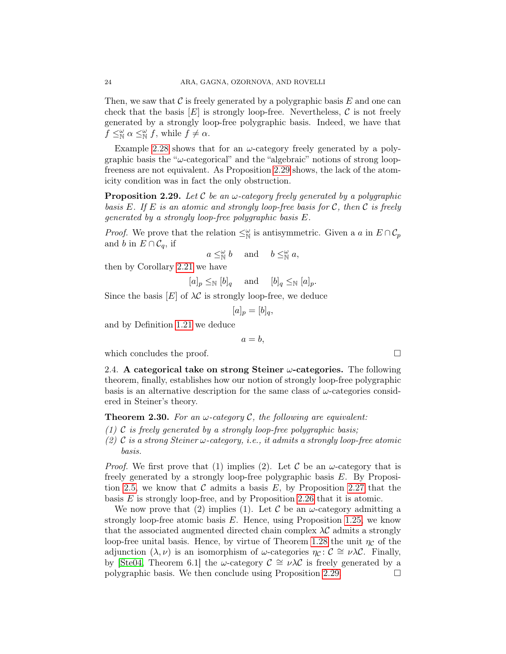Then, we saw that  $\mathcal C$  is freely generated by a polygraphic basis  $E$  and one can check that the basis  $[E]$  is strongly loop-free. Nevertheless, C is not freely generated by a strongly loop-free polygraphic basis. Indeed, we have that  $f \leq^{\omega}_{\mathbb{N}} \alpha \leq^{\omega}_{\mathbb{N}} f$ , while  $f \neq \alpha$ .

Example [2.28](#page-24-2) shows that for an  $\omega$ -category freely generated by a polygraphic basis the " $\omega$ -categorical" and the "algebraic" notions of strong loopfreeness are not equivalent. As Proposition [2.29](#page-25-1) shows, the lack of the atomicity condition was in fact the only obstruction.

<span id="page-25-1"></span>**Proposition 2.29.** Let C be an  $\omega$ -category freely generated by a polygraphic basis E. If E is an atomic and strongly loop-free basis for C, then C is freely generated by a strongly loop-free polygraphic basis E.

*Proof.* We prove that the relation  $\leq^{\omega}_{\mathbb{N}}$  is antisymmetric. Given a a in  $E \cap C_p$ and b in  $E \cap C_q$ , if

$$
a \leq^{\omega}_{\mathbb{N}} b
$$
 and  $b \leq^{\omega}_{\mathbb{N}} a$ ,

then by Corollary [2.21](#page-22-1) we have

 $[a]_p \leq_{\mathbb{N}} [b]_q$  and  $[b]_q \leq_{\mathbb{N}} [a]_p$ .

Since the basis  $[E]$  of  $\lambda \mathcal{C}$  is strongly loop-free, we deduce

$$
[a]_p = [b]_q,
$$

and by Definition [1.21](#page-11-0) we deduce

 $a = b$ ,

which concludes the proof.  $\Box$ 

2.4. A categorical take on strong Steiner  $\omega$ -categories. The following theorem, finally, establishes how our notion of strongly loop-free polygraphic basis is an alternative description for the same class of  $\omega$ -categories considered in Steiner's theory.

<span id="page-25-0"></span>**Theorem 2.30.** For an  $\omega$ -category C, the following are equivalent:

- (1) C is freely generated by a strongly loop-free polygraphic basis;
- (2) C is a strong Steiner  $\omega$ -category, i.e., it admits a strongly loop-free atomic basis.

*Proof.* We first prove that (1) implies (2). Let C be an  $\omega$ -category that is freely generated by a strongly loop-free polygraphic basis E. By Proposi-tion [2.5,](#page-15-0) we know that C admits a basis E, by Proposition [2.27](#page-24-0) that the basis  $E$  is strongly loop-free, and by Proposition [2.26](#page-24-1) that it is atomic.

We now prove that (2) implies (1). Let C be an  $\omega$ -category admitting a strongly loop-free atomic basis E. Hence, using Proposition [1.25,](#page-12-2) we know that the associated augmented directed chain complex  $\lambda \mathcal{C}$  admits a strongly loop-free unital basis. Hence, by virtue of Theorem [1.28](#page-13-3) the unit  $\eta_c$  of the adjunction  $(\lambda, \nu)$  is an isomorphism of  $\omega$ -categories  $\eta_c : \mathcal{C} \cong \nu \lambda \mathcal{C}$ . Finally, by [\[Ste04,](#page-27-10) Theorem 6.1] the  $\omega$ -category  $\mathcal{C} \cong \nu \lambda \mathcal{C}$  is freely generated by a polygraphic basis. We then conclude using Proposition [2.29.](#page-25-1)  $\Box$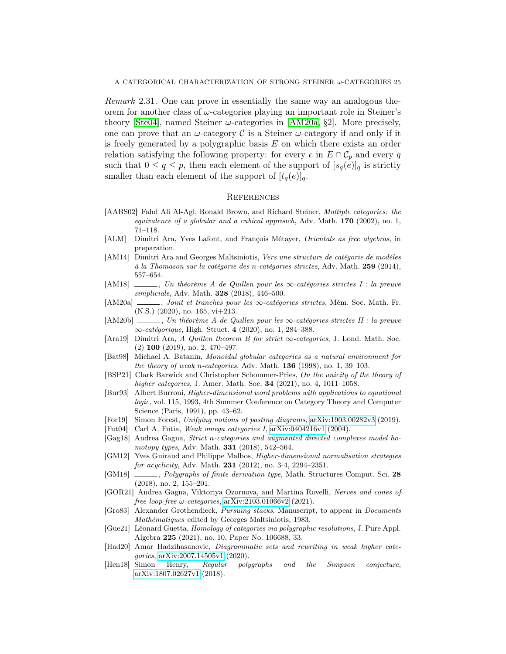Remark 2.31. One can prove in essentially the same way an analogous theorem for another class of  $\omega$ -categories playing an important role in Steiner's theory [\[Ste04\]](#page-27-10), named Steiner  $\omega$ -categories in [\[AM20a,](#page-26-16) §2]. More precisely, one can prove that an  $\omega$ -category  $\mathcal C$  is a Steiner  $\omega$ -category if and only if it is freely generated by a polygraphic basis  $E$  on which there exists an order relation satisfying the following property: for every e in  $E \cap C_p$  and every q such that  $0 \le q \le p$ , then each element of the support of  $[s_q(e)]_q$  is strictly smaller than each element of the support of  $[t_q(e)]_q$ .

#### <span id="page-26-0"></span>**REFERENCES**

- <span id="page-26-8"></span>[AABS02] Fahd Ali Al-Agl, Ronald Brown, and Richard Steiner, Multiple categories: the equivalence of a globular and a cubical approach, Adv. Math. 170 (2002), no. 1, 71–118.
- <span id="page-26-19"></span>[ALM] Dimitri Ara, Yves Lafont, and François Métayer, Orientals as free algebras, in preparation.
- <span id="page-26-4"></span>[AM14] Dimitri Ara and Georges Maltsiniotis, Vers une structure de catégorie de modèles à la Thomason sur la catégorie des n-catégories strictes, Adv. Math. 259 (2014), 557–654.
- <span id="page-26-5"></span>[AM18] , Un théorème A de Quillen pour les ∞-catégories strictes I : la preuve simpliciale, Adv. Math. **328** (2018), 446-500.
- <span id="page-26-16"></span>[AM20a] , Joint et tranches pour les ∞-catégories strictes, Mém. Soc. Math. Fr. (N.S.) (2020), no. 165, vi+213.
- <span id="page-26-6"></span>[AM20b] , Un théorème A de Quillen pour les ∞-catégories strictes II : la preuve ∞-catégorique, High. Struct. 4 (2020), no. 1, 284–388.
- <span id="page-26-17"></span>[Ara19] Dimitri Ara, A Quillen theorem B for strict  $\infty$ -categories, J. Lond. Math. Soc. (2) 100 (2019), no. 2, 470–497.
- <span id="page-26-1"></span>[Bat98] Michael A. Batanin, Monoidal globular categories as a natural environment for the theory of weak n-categories, Adv. Math.  $136$  (1998), no. 1, 39–103.
- <span id="page-26-9"></span>[BSP21] Clark Barwick and Christopher Schommer-Pries, On the unicity of the theory of higher categories, J. Amer. Math. Soc. **34** (2021), no. 4, 1011–1058.
- <span id="page-26-12"></span>[Bur93] Albert Burroni, Higher-dimensional word problems with applications to equational logic, vol. 115, 1993, 4th Summer Conference on Category Theory and Computer Science (Paris, 1991), pp. 43–62.
- <span id="page-26-20"></span>[For19] Simon Forest, Unifying notions of pasting diagrams, [arXiv:1903.00282v3](http://arxiv.org/abs/1903.00282v3) (2019).
- <span id="page-26-2"></span>[Fut04] Carl A. Futia, Weak omega categories I, [arXiv:0404216v1](https://arxiv.org/abs/math/0404216v1) (2004).
- <span id="page-26-3"></span>[Gag18] Andrea Gagna, Strict n-categories and augmented directed complexes model homotopy types, Adv. Math. **331** (2018), 542-564.
- <span id="page-26-14"></span>[GM12] Yves Guiraud and Philippe Malbos, Higher-dimensional normalisation strategies for acyclicity, Adv. Math. **231** (2012), no. 3-4, 2294-2351.
- <span id="page-26-15"></span>[GM18] , Polygraphs of finite derivation type, Math. Structures Comput. Sci. 28 (2018), no. 2, 155–201.
- <span id="page-26-18"></span>[GOR21] Andrea Gagna, Viktoriya Ozornova, and Martina Rovelli, Nerves and cones of free loop-free  $\omega$ -categories, [arXiv:2103.01066v2](https://arxiv.org/abs/2103.01066v2) (2021).
- <span id="page-26-7"></span>[Gro83] Alexander Grothendieck, Pursuing stacks, Manuscript, to appear in Documents Mathématiques edited by Georges Maltsiniotis, 1983.
- <span id="page-26-13"></span>[Gue21] Léonard Guetta, Homology of categories via polygraphic resolutions, J. Pure Appl. Algebra 225 (2021), no. 10, Paper No. 106688, 33.
- <span id="page-26-11"></span>[Had20] Amar Hadzihasanovic, Diagrammatic sets and rewriting in weak higher categories, [arXiv:2007.14505v1](https://arxiv.org/abs/2007.14505v1) (2020).
- <span id="page-26-10"></span>[Hen18] Simon Henry, Regular polygraphs and the Simpson conjecture, [arXiv:1807.02627v1](https://arxiv.org/abs/1807.02627v1) (2018).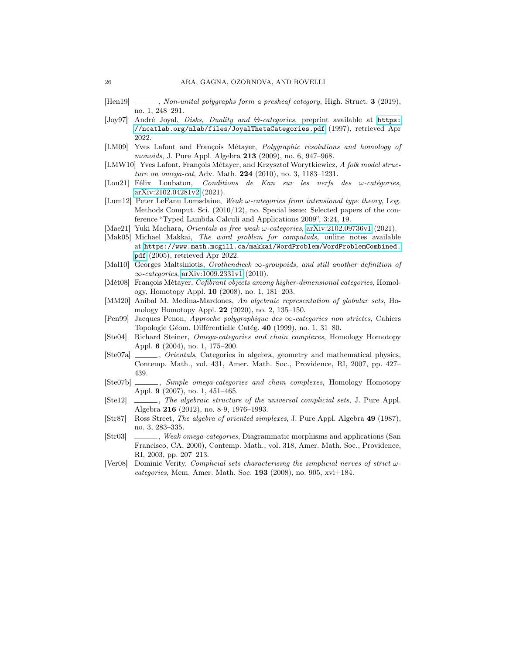- <span id="page-27-18"></span>[Hen19] , Non-unital polygraphs form a presheaf category, High. Struct. 3 (2019), no. 1, 248–291.
- <span id="page-27-5"></span>[Joy97] André Joyal, Disks, Duality and Θ-categories, preprint available at [https:](https://ncatlab.org/nlab/files/JoyalThetaCategories.pdf) [//ncatlab.org/nlab/files/JoyalThetaCategories.pdf](https://ncatlab.org/nlab/files/JoyalThetaCategories.pdf) (1997), retrieved Apr 2022.
- <span id="page-27-9"></span>[LM09] Yves Lafont and François Métayer, Polygraphic resolutions and homology of monoids, J. Pure Appl. Algebra **213** (2009), no. 6, 947–968.
- <span id="page-27-7"></span>[LMW10] Yves Lafont, François Métayer, and Krzysztof Worytkiewicz, A folk model structure on omega-cat, Adv. Math. 224 (2010), no. 3, 1183–1231.
- <span id="page-27-14"></span>[Lou21] Félix Loubaton, *Conditions de Kan sur les nerfs des*  $\omega$ *-catégories*, [arXiv:2102.04281v2](https://arxiv.org/abs/2102.04281v2) (2021).
- <span id="page-27-3"></span>[Lum12] Peter LeFanu Lumsdaine, Weak  $\omega$ -categories from intensional type theory, Log. Methods Comput. Sci. (2010/12), no. Special issue: Selected papers of the conference "Typed Lambda Calculi and Applications 2009", 3:24, 19.
- <span id="page-27-15"></span>[Mae21] Yuki Maehara, Orientals as free weak ω-categories, [arXiv:2102.09736v1](https://arxiv.org/abs/2102.09736v1) (2021).
- <span id="page-27-17"></span>[Mak05] Michael Makkai, The word problem for computads, online notes available at [https://www.math.mcgill.ca/makkai/WordProblem/WordProblemCombined.](https://www.math.mcgill.ca/makkai/WordProblem/WordProblemCombined.pdf) [pdf](https://www.math.mcgill.ca/makkai/WordProblem/WordProblemCombined.pdf) (2005), retrieved Apr 2022.
- <span id="page-27-4"></span>[Mal10] Georges Maltsiniotis, Grothendieck ∞-groupoids, and still another definition of ∞-categories, [arXiv:1009.2331v1](https://arxiv.org/abs/1009.2331v1) (2010).
- <span id="page-27-8"></span>[Mét08] François Métayer, Cofibrant objects among higher-dimensional categories, Homology, Homotopy Appl. 10 (2008), no. 1, 181–203.
- <span id="page-27-13"></span>[MM20] Anibal M. Medina-Mardones, An algebraic representation of globular sets, Homology Homotopy Appl. 22 (2020), no. 2, 135–150.
- <span id="page-27-1"></span>[Pen99] Jacques Penon, Approche polygraphique des ∞-categories non strictes, Cahiers Topologie Géom. Différentielle Catég. 40 (1999), no. 1, 31–80.
- <span id="page-27-10"></span>[Ste04] Richard Steiner, Omega-categories and chain complexes, Homology Homotopy Appl. 6 (2004), no. 1, 175–200.
- <span id="page-27-11"></span>[Ste07a]  $\qquad \qquad$ , *Orientals*, Categories in algebra, geometry and mathematical physics, Contemp. Math., vol. 431, Amer. Math. Soc., Providence, RI, 2007, pp. 427– 439.
- <span id="page-27-16"></span>[Ste07b] \_\_\_\_\_, Simple omega-categories and chain complexes, Homology Homotopy Appl. 9 (2007), no. 1, 451–465.
- <span id="page-27-12"></span>[Ste12] \_\_\_\_\_, The algebraic structure of the universal complicial sets, J. Pure Appl. Algebra 216 (2012), no. 8-9, 1976–1993.
- <span id="page-27-0"></span>[Str87] Ross Street, The algebra of oriented simplexes, J. Pure Appl. Algebra 49 (1987), no. 3, 283–335.
- <span id="page-27-2"></span>[Str03]  $\quad \qquad$ , Weak omega-categories, Diagrammatic morphisms and applications (San Francisco, CA, 2000), Contemp. Math., vol. 318, Amer. Math. Soc., Providence, RI, 2003, pp. 207–213.
- <span id="page-27-6"></span>[Ver08] Dominic Verity, *Complicial sets characterising the simplicial nerves of strict*  $\omega$ categories, Mem. Amer. Math. Soc.  $193$  (2008), no. 905, xvi+184.